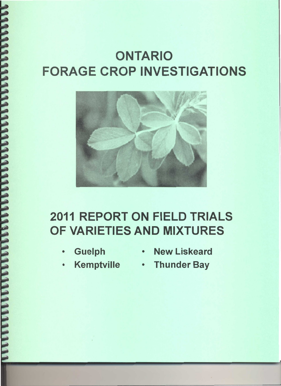# **ONTARIO FORAGE CROP INVESTIGATIONS**



# **2011 REPORT ON FIELD TRIALS** OF VARIETIES AND MIXTURES

- · Guelph
- . New Liskeard
- $\bullet$  .
- Kemptville Thunder Bay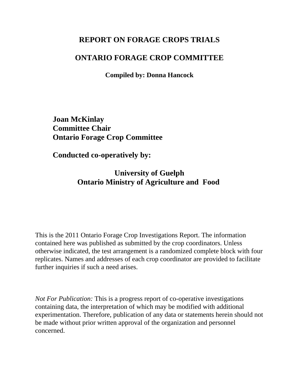# **REPORT ON FORAGE CROPS TRIALS**

## **ONTARIO FORAGE CROP COMMITTEE**

**Compiled by: Donna Hancock**

**Joan McKinlay Committee Chair Ontario Forage Crop Committee**

**Conducted co-operatively by:**

**University of Guelph Ontario Ministry of Agriculture and Food** 

This is the 2011 Ontario Forage Crop Investigations Report. The information contained here was published as submitted by the crop coordinators. Unless otherwise indicated, the test arrangement is a randomized complete block with four replicates. Names and addresses of each crop coordinator are provided to facilitate further inquiries if such a need arises.

*Not For Publication:* This is a progress report of co-operative investigations containing data, the interpretation of which may be modified with additional experimentation. Therefore, publication of any data or statements herein should not be made without prior written approval of the organization and personnel concerned.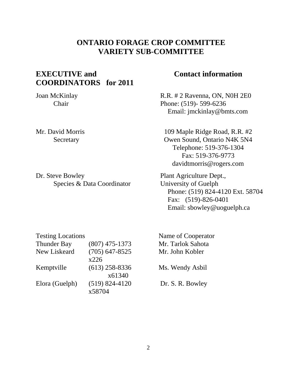# **ONTARIO FORAGE CROP COMMITTEE VARIETY SUB-COMMITTEE**

# **EXECUTIVE and COORDINATORS for 2011**

Joan McKinlay Chair

Mr. David Morris **Secretary** 

Dr. Steve Bowley Species & Data Coordinator

## **Contact information**

 R.R. # 2 Ravenna, ON, N0H 2E0 Phone: (519)- 599-6236 Email: jmckinlay@bmts.com

109 Maple Ridge Road, R.R. #2 Owen Sound, Ontario N4K 5N4 Telephone: 519-376-1304 Fax: 519-376-9773 davidtmorris@rogers.com

 Plant Agriculture Dept., University of Guelph Phone: (519) 824-4120 Ext. 58704 Fax: (519)-826-0401 Email: sbowley@uoguelph.ca

| <b>Testing Locations</b> |                    |
|--------------------------|--------------------|
| <b>Thunder Bay</b>       | $(807)$ 475-1373   |
| New Liskeard             | $(705)$ 647-8525   |
|                          | x226               |
| Kemptville               | $(613)$ 258-8336   |
|                          | x61340             |
| Elora (Guelph)           | $(519) 824 - 4120$ |
|                          | x58704             |

 Name of Cooperator Mr. Tarlok Sahota Mr. John Kobler

Ms. Wendy Asbil

Dr. S. R. Bowley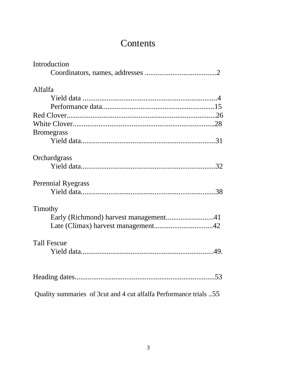# **Contents**

| Introduction                                                      |
|-------------------------------------------------------------------|
|                                                                   |
| Alfalfa                                                           |
|                                                                   |
|                                                                   |
|                                                                   |
|                                                                   |
| <b>Bromegrass</b>                                                 |
|                                                                   |
| Orchardgrass                                                      |
|                                                                   |
| <b>Perennial Ryegrass</b>                                         |
|                                                                   |
| Timothy                                                           |
|                                                                   |
|                                                                   |
| <b>Tall Fescue</b>                                                |
|                                                                   |
|                                                                   |
| Quality summaries of 3cut and 4 cut alfalfa Performance trials 55 |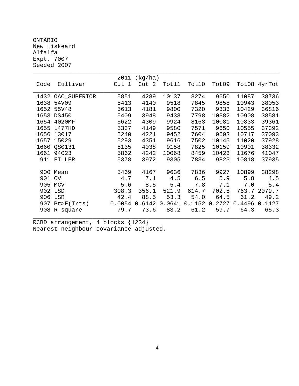ONTARIO New Liskeard Alfalfa Expt. 7007 Seeded 2007

|        |                   | 2011   | (kg/ha) |        |        |        |        |              |
|--------|-------------------|--------|---------|--------|--------|--------|--------|--------------|
| Code   | Cultivar          | Cut 1  | Cut 2   | Tot11  | Tot10  | Tot09  |        | Tot08 4yrTot |
|        |                   |        |         |        |        |        |        |              |
|        | 1432 OAC_SUPERIOR | 5851   | 4289    | 10137  | 8274   | 9650   | 11087  | 38736        |
| 1638   | 54V09             | 5413   | 4140    | 9518   | 7845   | 9858   | 10943  | 38053        |
| 1652   | 55V48             | 5613   | 4181    | 9800   | 7320   | 9333   | 10429  | 36816        |
|        | 1653 DS450        | 5409   | 3948    | 9438   | 7798   | 10382  | 10908  | 38581        |
| 1654   | 4020MF            | 5622   | 4309    | 9924   | 8163   | 10081  | 10833  | 39361        |
| 1655   | L477HD            | 5337   | 4149    | 9580   | 7571   | 9650   | 10555  | 37392        |
| 1656   | 13017             | 5240   | 4221    | 9452   | 7604   | 9693   | 10717  | 37093        |
| 1657   | 15029             | 5293   | 4351    | 9616   | 7502   | 10145  | 11020  | 37928        |
| 1660   | OS0131            | 5135   | 4038    | 9158   | 7825   | 10159  | 10901  | 38332        |
| 1661   | 94023             | 5862   | 4242    | 10068  | 8459   | 10423  | 11676  | 41047        |
| 911    | FILLER            | 5378   | 3972    | 9305   | 7834   | 9823   | 10818  | 37935        |
|        |                   |        |         |        |        |        |        |              |
|        | 900 Mean          | 5469   | 4167    | 9636   | 7836   | 9927   | 10899  | 38298        |
| 901 CV |                   | 4.7    | 7.1     | 4.5    | 6.5    | 5.9    | 5.8    | 4.5          |
| 905    | MCV               | 5.6    | 8.5     | 5.4    | 7.8    | 7.1    | 7.0    | 5.4          |
| 902    | LSD               | 308.3  | 356.1   | 521.9  | 614.7  | 702.5  | 763.7  | 2079.7       |
|        | 906 LSR           | 42.4   | 88.5    | 53.3   | 54.0   | 64.5   | 61.2   | 49.2         |
|        | 907 Pr>F(Trts)    | 0.0054 | 0.6142  | 0.0641 | 0.1152 | 0.2727 | 0.4496 | 0.1127       |
| 908    | R_square          | 79.7   | 73.6    | 83.2   | 61.2   | 59.7   | 64.3   | 65.3         |
|        |                   |        |         |        |        |        |        |              |

RCBD arrangement, 4 blocks {1234} Nearest-neighbour covariance adjusted.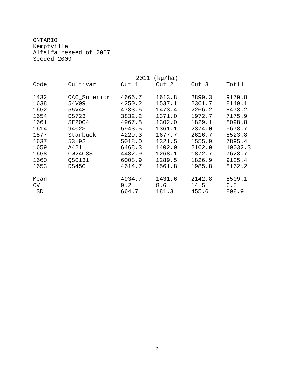ONTARIO Kemptville Alfalfa reseed of 2007 Seeded 2009

| 2011<br>(kg/ha)   |              |                        |                        |                         |                        |  |  |
|-------------------|--------------|------------------------|------------------------|-------------------------|------------------------|--|--|
| Code              | Cultivar     | Cut 1                  | Cut 2                  | Cut 3                   | Tot11                  |  |  |
|                   |              |                        |                        |                         |                        |  |  |
| 1432              | OAC_Superior | 4666.7                 | 1613.8                 | 2890.3                  | 9170.8                 |  |  |
| 1638              | 54V09        | 4250.2                 | 1537.1                 | 2361.7                  | 8149.1                 |  |  |
| 1652              | 55V48        | 4733.6                 | 1473.4                 | 2266.2                  | 8473.2                 |  |  |
| 1654              | DS723        | 3832.2                 | 1371.0                 | 1972.7                  | 7175.9                 |  |  |
| 1661              | SF2004       | 4967.8                 | 1302.0                 | 1829.1                  | 8098.8                 |  |  |
| 1614              | 94023        | 5943.5                 | 1361.1                 | 2374.0                  | 9678.7                 |  |  |
| 1577              | Starbuck     | 4229.3                 | 1677.7                 | 2616.7                  | 8523.8                 |  |  |
| 1637              | 53H92        | 5018.0                 | 1321.5                 | 1555.9                  | 7895.4                 |  |  |
| 1659              | A421         | 6468.3                 | 1402.0                 | 2162.0                  | 10032.3                |  |  |
| 1658              | CW24033      | 4482.9                 | 1268.1                 | 1872.7                  | 7623.7                 |  |  |
| 1660              | OS0131       | 6008.9                 | 1289.5                 | 1826.9                  | 9125.4                 |  |  |
| 1653              | DS450        | 4614.7                 | 1561.8                 | 1985.8                  | 8162.2                 |  |  |
| Mean<br>CV<br>LSD |              | 4934.7<br>9.2<br>664.7 | 1431.6<br>8.6<br>181.3 | 2142.8<br>14.5<br>455.6 | 8509.1<br>6.5<br>808.9 |  |  |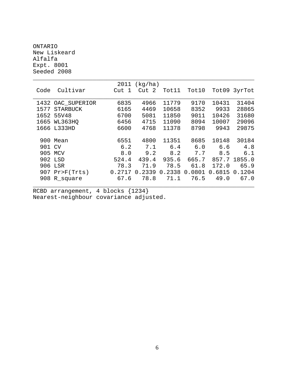#### ONTARIO New Liskeard Alfalfa Expt. 8001 Seeded 2008

|        |                 | 2011   | (kq/ha) |        |        |        |        |
|--------|-----------------|--------|---------|--------|--------|--------|--------|
| Code   | Cultivar        | Cut 1  | Cut 2   | Tot11  | Tot10  | Tot09  | 3yrTot |
|        |                 |        |         |        |        |        |        |
| 1432   | OAC_SUPERIOR    | 6835   | 4966    | 11779  | 9170   | 10431  | 31404  |
| 1577   | <b>STARBUCK</b> | 6165   | 4469    | 10658  | 8352   | 9933   | 28865  |
| 1652   | 55V48           | 6700   | 5081    | 11850  | 9011   | 10426  | 31680  |
| 1665   | WL363HO         | 6456   | 4715    | 11090  | 8094   | 10007  | 29096  |
|        | 1666 L333HD     | 6600   | 4768    | 11378  | 8798   | 9943   | 29875  |
|        |                 |        |         |        |        |        |        |
| 900    | Mean            | 6551   | 4800    | 11351  | 8685   | 10148  | 30184  |
| 901 CV |                 | 6.2    | 7.1     | 6.4    | 6.0    | 6.6    | 4.8    |
|        | 905 MCV         | 8.0    | 9.2     | 8.2    | 7.7    | 8.5    | 6.1    |
|        | 902 LSD         | 524.4  | 439.4   | 935.6  | 665.7  | 857.7  | 1855.0 |
| 906    | LSR             | 78.3   | 71.9    | 78.5   | 61.8   | 172.0  | 65.9   |
| 907    | Pr > F(Trts)    | 0.2717 | 0.2339  | 0.2338 | 0.0801 | 0.6815 | 0.1204 |
| 908    | R_square        | 67.6   | 78.8    | 71.1   | 76.5   | 49.0   | 67.0   |
|        |                 |        |         |        |        |        |        |

RCBD arrangement, 4 blocks {1234} Nearest-neighbour covariance adjusted.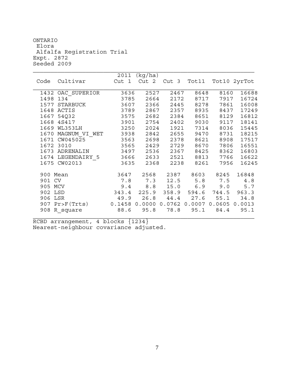ONTARIO Elora Alfalfa Registration Trial Expt. 2872 Seeded 2009

|          |                            | 2011  | (kq/ha) |                             |       |        |              |
|----------|----------------------------|-------|---------|-----------------------------|-------|--------|--------------|
| Code     | Cultivar                   | Cut 1 | Cut 2   | Cut 3                       | Tot11 |        | Tot10 2yrTot |
|          |                            |       |         |                             |       |        |              |
|          | 1432 OAC SUPERIOR          | 3636  | 2527    | 2467                        | 8648  | 8160   | 16688        |
| 1498     | 134                        | 3785  | 2664    | 2172                        | 8717  | 7917   | 16724        |
| 1577     | STARBUCK                   | 3607  | 2366    | 2445                        | 8278  | 7861   | 16008        |
|          | 1648 ACTIS                 | 3789  | 2867    | 2357                        | 8935  | 8437   | 17249        |
|          | 1667 54Q32                 | 3575  | 2682    | 2384                        | 8651  | 8129   | 16812        |
|          | 1668 4S417                 | 3901  | 2754    | 2402                        | 9030  | 9117   | 18141        |
| 1669     | WL353LH                    | 3250  | 2024    | 1921                        | 7314  | 8036   | 15445        |
|          | 1670 MAGNUM VI WET         | 3938  | 2842    | 2655                        | 9470  | 8731   | 18215        |
|          | 1671 CW045025              | 3563  | 2698    | 2378                        | 8621  | 8908   | 17517        |
|          | 1672 3010                  | 3565  | 2429    | 2729                        | 8670  | 7806   | 16551        |
| 1673     | ADRENALIN                  | 3497  | 2536    | 2367                        | 8425  | 8362   | 16803        |
|          | 1674 LEGENDAIRY 5          | 3666  | 2633    | 2521                        | 8813  | 7766   | 16622        |
|          | 1675 CW02013               | 3635  | 2368    | 2238                        | 8261  | 7956   | 16245        |
| 900 Mean |                            | 3647  | 2568    | 2387                        | 8603  | 8245   | 16848        |
| 901 CV   |                            | 7.8   | 7.3     | 12.5                        | 5.8   | 7.5    | 4.8          |
|          |                            |       |         |                             |       |        |              |
| 905 MCV  |                            | 9.4   | 8.8     | 15.0                        | 6.9   | 9.0    | 5.7          |
| 902 LSD  |                            | 343.4 | 225.9   | 358.9                       | 594.6 | 744.5  | 963.3        |
| 906 LSR  |                            | 49.9  | 26.8    | 44.4                        | 27.6  | 55.1   | 34.8         |
|          | $907 \text{Pr}$ Pr>F(Trts) |       |         | 0.1458 0.0000 0.0762 0.0007 |       | 0.0605 | 0.0013       |
|          | 908 R square               | 88.6  | 95.8    | 78.8                        | 95.1  | 84.4   | 95.1         |
|          |                            |       |         |                             |       |        |              |

RCBD arrangement, 4 blocks {1234} Nearest-neighbour covariance adjusted.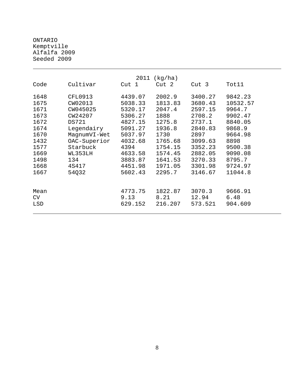ONTARIO Kemptville Alfalfa 2009 Seeded 2009

| 2011<br>(kg/ha) |                |         |         |                  |          |  |  |
|-----------------|----------------|---------|---------|------------------|----------|--|--|
| Code            | Cultivar       | Cut 1   | Cut 2   | Cut <sub>3</sub> | Tot11    |  |  |
| 1648            | <b>CFL0913</b> | 4439.07 | 2002.9  | 3400.27          | 9842.23  |  |  |
| 1675            | CW02013        | 5038.33 | 1813.83 | 3680.43          | 10532.57 |  |  |
| 1671            | CW045025       | 5320.17 | 2047.4  | 2597.15          | 9964.7   |  |  |
| 1673            | CW24207        | 5306.27 | 1888    | 2708.2           | 9902.47  |  |  |
| 1672            | <b>DS721</b>   | 4827.15 | 1275.8  | 2737.1           | 8840.05  |  |  |
| 1674            | Legendairy     | 5091.27 | 1936.8  | 2840.83          | 9868.9   |  |  |
| 1670            | MagnumVI-Wet   | 5037.97 | 1730    | 2897             | 9664.98  |  |  |
| 1432            | OAC-Superior   | 4032.68 | 1765.68 | 3099.63          | 8898     |  |  |
| 1577            | Starbuck       | 4394    | 1754.15 | 3352.23          | 9500.38  |  |  |
| 1669            | WL353LH        | 4633.58 | 1574.45 | 2882.05          | 9090.08  |  |  |
| 1498            | 134            | 3883.87 | 1641.53 | 3270.33          | 8795.7   |  |  |
| 1668            | 4S417          | 4451.98 | 1971.05 | 3301.98          | 9724.97  |  |  |
| 1667            | 54Q32          | 5602.43 | 2295.7  | 3146.67          | 11044.8  |  |  |
| Mean            |                | 4773.75 | 1822.87 | 3070.3           | 9666.91  |  |  |
| CV              |                | 9.13    | 8.21    | 12.94            | 6.48     |  |  |
| LSD             |                | 629.152 | 216.207 | 573.521          | 904.609  |  |  |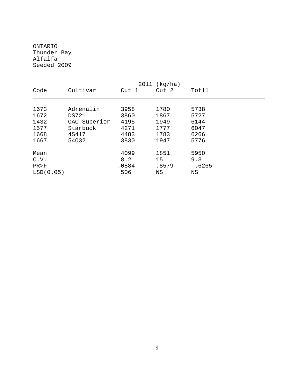ONTARIO Thunder Bay Alfalfa Seeded 2009

| 2011<br>(kg/ha) |              |              |       |       |  |  |  |
|-----------------|--------------|--------------|-------|-------|--|--|--|
| Code            | Cultivar     | Cut 1        | Cut 2 | Tot11 |  |  |  |
| 1673            | Adrenalin    |              | 1780  | 5738  |  |  |  |
| 1672            | <b>DS721</b> | 3958<br>3860 | 1867  | 5727  |  |  |  |
|                 |              |              |       |       |  |  |  |
| 1432            | OAC_Superior | 4195         | 1949  | 6144  |  |  |  |
| 1577            | Starbuck     | 4271         | 1777  | 6047  |  |  |  |
| 1668            | 4S417        | 4483         | 1783  | 6266  |  |  |  |
| 1667            | 54Q32        | 3830         | 1947  | 5776  |  |  |  |
| Mean            |              | 4099         | 1851  | 5950  |  |  |  |
| C.V.            |              | 8.2          | 15    | 9.3   |  |  |  |
| PR > F          |              | .0884        | .8579 | .6265 |  |  |  |
| LSD(0.05)       |              | 506          | ΝS    | ΝS    |  |  |  |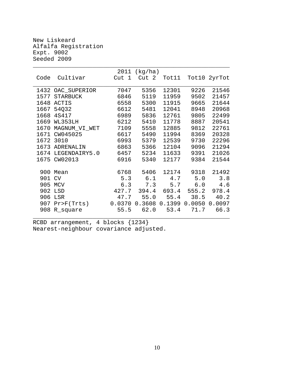New Liskeard Alfalfa Registration Expt. 9002 Seeded 2009

|      |                   | 2011  | (kg/ha)           |       |               |              |
|------|-------------------|-------|-------------------|-------|---------------|--------------|
| Code | Cultivar          | Cut 1 | Cut 2             | Tot11 |               | Tot10 2yrTot |
|      |                   |       |                   |       |               |              |
|      | 1432 OAC_SUPERIOR | 7047  | 5356              | 12301 | 9226          | 21546        |
| 1577 | <b>STARBUCK</b>   | 6846  | 5119              | 11959 | 9502          | 21457        |
| 1648 | ACTIS             | 6558  | 5300              | 11915 | 9665          | 21644        |
| 1667 | 54Q32             | 6612  | 5481              | 12041 | 8948          | 20968        |
| 1668 | 4S417             | 6989  | 5836              | 12761 | 9805          | 22499        |
| 1669 | WL353LH           | 6212  | 5410              | 11778 | 8887          | 20541        |
| 1670 | MAGNUM_VI_WET     | 7109  | 5558              | 12885 | 9812          | 22761        |
| 1671 | CW045025          | 6617  | 5490              | 11994 | 8369          | 20328        |
| 1672 | 3010              | 6993  | 5379              | 12539 | 9730          | 22296        |
| 1673 | ADRENALIN         | 6863  | 5366              | 12104 | 9096          | 21294        |
| 1674 | LEGENDAIRY5.0     | 6457  | 5234              | 11633 | 9391          | 21026        |
| 1675 | CW02013           | 6916  | 5340              | 12177 | 9384          | 21544        |
|      |                   |       |                   |       |               |              |
| 900  | Mean              | 6768  | 5406              | 12174 | 9318          | 21492        |
| 901  | CV                | 5.3   | 6.1               | 4.7   | 5.0           | 3.8          |
| 905  | MCV               | 6.3   | 7.3               | 5.7   | 6.0           | 4.6          |
|      | 902 LSD           | 427.7 | 394.4             | 693.4 | 555.2         | 978.4        |
| 906  | LSR               | 47.7  | 55.0              | 55.4  | 38.5          | 40.2         |
| 907  | $Pr$ $F(Trts)$    |       | $0.0370$ $0.3608$ |       | 0.1399 0.0050 | 0.0097       |
|      | 908 R_square      | 55.5  | 62.0              | 53.4  | 71.7          | 66.3         |
|      |                   |       |                   |       |               |              |

RCBD arrangement, 4 blocks {1234} Nearest-neighbour covariance adjusted.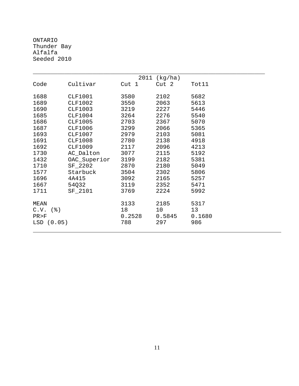ONTARIO Thunder Bay Alfalfa Seeded 2010

|             |                |        | 2011 (kg/ha)     |        |
|-------------|----------------|--------|------------------|--------|
| Code        | Cultivar       | Cut 1  | Cut <sub>2</sub> | Tot11  |
| 1688        | <b>CLF1001</b> | 3580   | 2102             | 5682   |
| 1689        | <b>CLF1002</b> | 3550   | 2063             | 5613   |
| 1690        | <b>CLF1003</b> | 3219   | 2227             | 5446   |
| 1685        | <b>CLF1004</b> | 3264   | 2276             | 5540   |
| 1686        | <b>CLF1005</b> | 2703   | 2367             | 5070   |
| 1687        | <b>CLF1006</b> | 3299   | 2066             | 5365   |
| 1693        | <b>CLF1007</b> | 2979   | 2103             | 5081   |
| 1691        | <b>CLF1008</b> | 2780   | 2138             | 4918   |
| 1692        | <b>CLF1009</b> | 2117   | 2096             | 4213   |
| 1730        | AC_Dalton      | 3077   | 2115             | 5192   |
| 1432        | OAC_Superior   | 3199   | 2182             | 5381   |
| 1710        | SF_2202        | 2870   | 2180             | 5049   |
| 1577        | Starbuck       | 3504   | 2302             | 5806   |
| 1696        | 4A415          | 3092   | 2165             | 5257   |
| 1667        | 54Q32          | 3119   | 2352             | 5471   |
| 1711        | SF_2101        | 3769   | 2224             | 5992   |
| MEAN        |                | 3133   | 2185             | 5317   |
| (응)<br>C.V. |                | 18     | 10               | 13     |
| PR > F      |                | 0.2528 | 0.5845           | 0.1680 |
| LSD(0.05)   |                | 788    | 297              | 986    |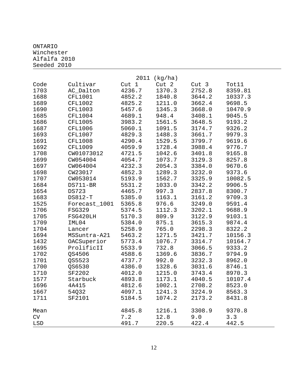#### ONTARIO Winchester Alfalfa 2010 Seeded 2010

| 2011 (kg/ha) |                |                  |        |                  |         |  |  |
|--------------|----------------|------------------|--------|------------------|---------|--|--|
| Code         | Cultivar       | Cut <sub>1</sub> | Cut 2  | Cut <sub>3</sub> | Tot11   |  |  |
| 1703         | AC_Dalton      | 4236.7           | 1370.3 | 2752.8           | 8359.81 |  |  |
| 1688         | <b>CFL1001</b> | 4852.2           | 1840.8 | 3644.2           | 10337.3 |  |  |
| 1689         | <b>CFL1002</b> | 4825.2           | 1211.0 | 3662.4           | 9698.5  |  |  |
| 1690         | <b>CFL1003</b> | 5457.6           | 1345.3 | 3668.0           | 10470.9 |  |  |
| 1685         | <b>CFL1004</b> | 4689.1           | 948.4  | 3408.1           | 9045.5  |  |  |
| 1686         | <b>CFL1005</b> | 3983.2           | 1561.5 | 3648.5           | 9193.2  |  |  |
| 1687         | <b>CFL1006</b> | 5060.1           | 1091.5 | 3174.7           | 9326.2  |  |  |
| 1693         | <b>CFL1007</b> | 4829.3           | 1488.3 | 3661.7           | 9979.3  |  |  |
| 1691         | <b>CFL1008</b> | 4290.4           | 1529.5 | 3799.7           | 9619.6  |  |  |
| 1692         | <b>CFL1009</b> | 4059.9           | 1728.4 | 3988.4           | 9776.7  |  |  |
| 1708         | CW01073012     | 4721.5           | 1042.6 | 3401.8           | 9165.8  |  |  |
| 1699         | CW054004       | 4054.7           | 1073.7 | 3129.3           | 8257.8  |  |  |
| 1697         | CW064004       | 4232.3           | 2054.3 | 3384.0           | 9670.6  |  |  |
| 1698         | CW23017        | 4852.3           | 1289.3 | 3232.0           | 9373.6  |  |  |
| 1707         | CW053014       | 5193.9           | 1562.7 | 3325.9           | 10082.5 |  |  |
| 1684         | DS711-BR       | 5531.2           | 1033.0 | 3342.2           | 9906.5  |  |  |
| 1654         | <b>DS723</b>   | 4465.7           | 997.3  | 2837.8           | 8300.7  |  |  |
| 1683         | DS812-T        | 5385.0           | 1163.1 | 3161.2           | 9709.3  |  |  |
| 1525         | Forecast_1001  | 5365.8           | 976.6  | 3249.0           | 9591.4  |  |  |
| 1706         | <b>FSG329</b>  | 5374.5           | 1112.3 | 3202.1           | 9688.9  |  |  |
| 1705         | FSG420LH       | 5170.3           | 809.9  | 3122.9           | 9103.1  |  |  |
| 1709         | IML04          | 5384.0           | 875.1  | 3615.3           | 9874.4  |  |  |
| 1704         | Lancer         | 5258.9           | 765.0  | 2298.3           | 8322.2  |  |  |
| 1694         | MSSuntra-A21   | 5463.2           | 1271.5 | 3421.7           | 10156.3 |  |  |
| 1432         | OACSuperior    | 5773.4           | 1076.7 | 3314.7           | 10164.7 |  |  |
| 1695         | ProlificII     | 5533.9           | 732.8  | 3066.5           | 9333.2  |  |  |
| 1702         | QS4506         | 4588.6           | 1369.6 | 3836.7           | 9794.9  |  |  |
| 1701         | QS5523         | 4737.7           | 992.0  | 3232.3           | 8962.0  |  |  |
| 1700         | QS6530         | 4386.0           | 1328.6 | 3031.6           | 8746.1  |  |  |
| 1710         | SF2202         | 4012.0           | 1215.0 | 3743.4           | 8970.3  |  |  |
| 1577         | Starbuck       | 4893.8           | 1173.1 | 4040.5           | 10107.4 |  |  |
| 1696         | 4A415          | 4812.6           | 1002.1 | 2708.2           | 8523.0  |  |  |
| 1667         | 54Q32          | 4097.1           | 1241.3 | 3224.9           | 8563.3  |  |  |
| 1711         | SF2101         | 5184.5           | 1074.2 | 2173.2           | 8431.8  |  |  |
| Mean         |                | 4845.8           | 1216.1 | 3308.9           | 9370.8  |  |  |
| CV           |                | 7.2              | 12.8   | 9.0              | 3.3     |  |  |
| LSD          |                | 491.7            | 220.5  | 422.4            | 442.5   |  |  |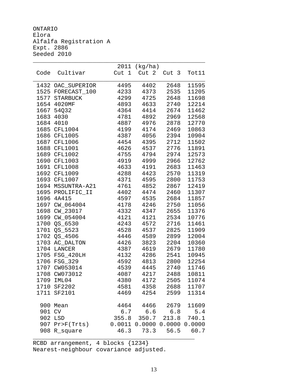ONTARIO Elora Alfalfa Registration A Expt. 2886 Seeded 2010

|        |                               | 2011         | (kg/ha)                             |              |                |
|--------|-------------------------------|--------------|-------------------------------------|--------------|----------------|
| Code   | Cultivar                      | Cut 1        | Cut 2                               | Cut 3        | Tot11          |
|        | 1432 OAC_SUPERIOR             | 4495         | 4402                                | 2648         | 11595          |
|        | 1525 FORECAST_100             | 4233         | 4373                                | 2535         | 11205          |
|        | 1577 STARBUCK                 | 4299         | 4725                                | 2648         | 11698          |
|        | 1654 4020MF                   | 4893         | 4633                                | 2740         | 12214          |
|        | 1667 54Q32                    | 4364         | 4414                                | 2674         | 11462          |
| 1683   | 4030                          | 4781         | 4892                                | 2969         | 12568          |
| 1684   | 4010                          | 4887         | 4976                                | 2878         | 12770          |
| 1685   | <b>CFL1004</b>                | 4199         | 4174                                | 2469         | 10863          |
|        | 1686 CFL1005                  | 4387         | 4056                                | 2394         | 10904          |
|        | 1687 CFL1006                  | 4454         | 4395                                | 2712         | 11502          |
|        | 1688 CFL1001                  | 4626         | 4537                                | 2776         | 11891          |
|        | 1689 CFL1002                  | 4755         | 4794                                | 2974         | 12573          |
|        | 1690 CFL1003                  | 4919         | 4999                                | 2966         | 12762          |
|        | 1691 CFL1008                  | 4633         | 4191                                | 2683         | 11463          |
|        | 1692 CFL1009                  | 4288         | 4423                                | 2570         | 11319          |
|        | 1693 CFL1007                  | 4371         | 4595                                | 2800         | 11753          |
|        | 1694 MSSUNTRA-A21             | 4761         | 4852                                | 2867         | 12419          |
|        | 1695 PROLIFIC_II              | 4402         | 4474                                | 2460         | 11307          |
|        | 1696 4A415                    | 4597         | 4535                                | 2684         | 11857          |
|        | 1697 CW_064004                | 4178         | 4246                                | 2750         | 11056          |
| 1698   | CW_23017                      | 4332         | 4347                                | 2655         | 11376          |
| 1699   | CW_054004                     | 4121         | 4121                                | 2534         | 10776          |
| 1700   | QS_6530                       | 4243         | 4572                                | 2716         | 11461          |
| 1701   | QS_5523                       | 4528         | 4537                                | 2825         | 11909          |
| 1702   | QS_4506                       | 4446         | 4589                                | 2899         | 12004          |
|        | 1703 AC_DALTON<br>1704 LANCER | 4426<br>4387 | 3823<br>4619                        | 2204<br>2679 | 10360<br>11780 |
|        | 1705 FSG_420LH                | 4132         | 4286                                | 2541         | 10945          |
|        | 1706 FSG_329                  | 4592         | 4813                                | 2800         | 12254          |
|        | 1707 CW053014                 | 4539         | 4445                                | 2740         | 11746          |
|        | 1708 CW073012                 | 4087         | 4217                                | 2488         | 10811          |
|        | 1709 IML04                    | 4380         | 4172                                | 2505         | 11074          |
|        | 1710 SF2202                   | 4581         | 4358                                | 2688         | 11707          |
|        | 1711 SF2101                   | 4469         | 4254                                | 2599         | 11314          |
|        |                               |              |                                     |              |                |
|        | 900 Mean                      | 4464         | 4466                                | 2679         | 11609          |
| 901 CV |                               | 6.7          |                                     | $6.6$ $6.8$  | 5.4            |
|        | 902 LSD                       |              | 355.8 350.7                         |              | 213.8 740.1    |
|        | 907 Pr>F(Trts)                |              | $0.0011$ $0.0000$ $0.0000$ $0.0000$ |              |                |
|        | 908 R_square                  | 46.3         | 73.3                                | 56.5         | 60.7           |
|        |                               |              |                                     |              |                |

RCBD arrangement, 4 blocks {1234} Nearest-neighbour covariance adjusted.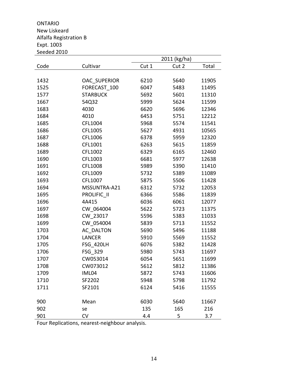ONTARIO New Liskeard Alfalfa Registration B Expt. 1003 Seeded 2010

|      |                     |       | 2011 (kg/ha) |       |
|------|---------------------|-------|--------------|-------|
| Code | Cultivar            | Cut 1 | Cut 2        | Total |
|      |                     |       |              |       |
| 1432 | <b>OAC SUPERIOR</b> | 6210  | 5640         | 11905 |
| 1525 | FORECAST 100        | 6047  | 5483         | 11495 |
| 1577 | <b>STARBUCK</b>     | 5692  | 5601         | 11310 |
| 1667 | 54Q32               | 5999  | 5624         | 11599 |
| 1683 | 4030                | 6620  | 5696         | 12346 |
| 1684 | 4010                | 6453  | 5751         | 12212 |
| 1685 | CFL1004             | 5968  | 5574         | 11541 |
| 1686 | CFL1005             | 5627  | 4931         | 10565 |
| 1687 | CFL1006             | 6378  | 5959         | 12320 |
| 1688 | CFL1001             | 6263  | 5615         | 11859 |
| 1689 | CFL1002             | 6329  | 6165         | 12460 |
| 1690 | CFL1003             | 6681  | 5977         | 12638 |
| 1691 | CFL1008             | 5989  | 5390         | 11410 |
| 1692 | CFL1009             | 5732  | 5389         | 11089 |
| 1693 | CFL1007             | 5875  | 5506         | 11428 |
| 1694 | MSSUNTRA-A21        | 6312  | 5732         | 12053 |
| 1695 | PROLIFIC II         | 6366  | 5586         | 11839 |
| 1696 | 4A415               | 6036  | 6061         | 12077 |
| 1697 | CW 064004           | 5622  | 5723         | 11375 |
| 1698 | CW 23017            | 5596  | 5383         | 11033 |
| 1699 | CW 054004           | 5839  | 5713         | 11552 |
| 1703 | <b>AC DALTON</b>    | 5690  | 5496         | 11188 |
| 1704 | <b>LANCER</b>       | 5910  | 5569         | 11552 |
| 1705 | <b>FSG 420LH</b>    | 6076  | 5382         | 11428 |
| 1706 | FSG 329             | 5980  | 5743         | 11697 |
| 1707 | CW053014            | 6054  | 5651         | 11699 |
| 1708 | CW073012            | 5612  | 5812         | 11386 |
| 1709 | IML04               | 5872  | 5743         | 11606 |
| 1710 | SF2202              | 5948  | 5798         | 11792 |
| 1711 | SF2101              | 6124  | 5416         | 11555 |
|      |                     |       |              |       |
| 900  | Mean                | 6030  | 5640         | 11667 |
| 902  | se                  | 135   | 165          | 216   |
| 901  | <b>CV</b>           | 4.4   | 5            | 3.7   |

Four Replications, nearest‐neighbour analysis.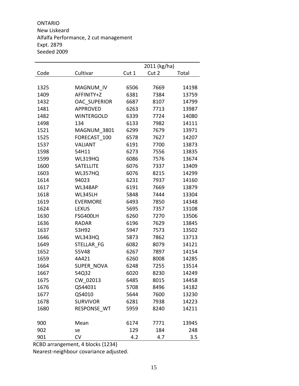ONTARIO New Liskeard Alfalfa Performance, 2 cut management Expt. 2879 Seeded 2009

|      |                   |       | 2011 (kg/ha) |       |
|------|-------------------|-------|--------------|-------|
| Code | Cultivar          | Cut 1 | Cut 2        | Total |
|      |                   |       |              |       |
| 1325 | MAGNUM IV         | 6506  | 7669         | 14198 |
| 1409 | AFFINITY+Z        | 6381  | 7384         | 13759 |
| 1432 | OAC SUPERIOR      | 6687  | 8107         | 14799 |
| 1481 | <b>APPROVED</b>   | 6263  | 7713         | 13987 |
| 1482 | <b>WINTERGOLD</b> | 6339  | 7724         | 14080 |
| 1498 | 134               | 6133  | 7982         | 14111 |
| 1521 | MAGNUM 3801       | 6299  | 7679         | 13971 |
| 1525 | FORECAST 100      | 6578  | 7627         | 14207 |
| 1537 | <b>VALIANT</b>    | 6191  | 7700         | 13873 |
| 1598 | 54H11             | 6273  | 7556         | 13835 |
| 1599 | <b>WL319HQ</b>    | 6086  | 7576         | 13674 |
| 1600 | <b>SATELLITE</b>  | 6076  | 7337         | 13409 |
| 1603 | WL357HQ           | 6076  | 8215         | 14299 |
| 1614 | 94023             | 6231  | 7937         | 14160 |
| 1617 | WL348AP           | 6191  | 7669         | 13879 |
| 1618 | WL345LH           | 5848  | 7444         | 13304 |
| 1619 | <b>EVERMORE</b>   | 6493  | 7850         | 14348 |
| 1624 | <b>LEXUS</b>      | 5695  | 7357         | 13108 |
| 1630 | FSG400LH          | 6260  | 7270         | 13506 |
| 1636 | <b>RADAR</b>      | 6196  | 7629         | 13845 |
| 1637 | 53H92             | 5947  | 7573         | 13502 |
| 1646 | WL343HQ           | 5873  | 7862         | 13713 |
| 1649 | STELLAR FG        | 6082  | 8079         | 14121 |
| 1652 | 55V48             | 6267  | 7897         | 14154 |
| 1659 | 4A421             | 6260  | 8008         | 14285 |
| 1664 | SUPER_NOVA        | 6248  | 7255         | 13514 |
| 1667 | 54Q32             | 6020  | 8230         | 14249 |
| 1675 | CW 02013          | 6485  | 8015         | 14458 |
| 1676 | QS44031           | 5708  | 8496         | 14182 |
| 1677 | QS4010            | 5644  | 7600         | 13230 |
| 1678 | <b>SURVIVOR</b>   | 6281  | 7938         | 14223 |
| 1680 | RESPONSE WT       | 5959  | 8240         | 14211 |
|      |                   |       |              |       |
| 900  | Mean              | 6174  | 7771         | 13945 |
| 902  | se                | 129   | 184          | 248   |
| 901  | CV                | 4.2   | 4.7          | 3.5   |

RCBD arrangement, 4 blocks {1234}

Nearest‐neighbour covariance adjusted.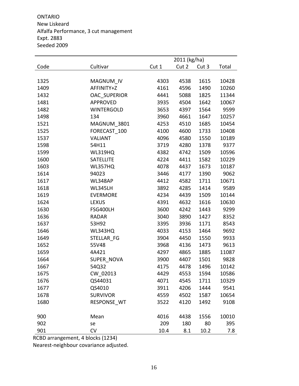ONTARIO New Liskeard Alfalfa Performance, 3 cut management Expt. 2883 Seeded 2009

|      |                   |       | 2011 (kg/ha) |       |       |
|------|-------------------|-------|--------------|-------|-------|
| Code | Cultivar          | Cut 1 | Cut 2        | Cut 3 | Total |
|      |                   |       |              |       |       |
| 1325 | MAGNUM_IV         | 4303  | 4538         | 1615  | 10428 |
| 1409 | AFFINITY+Z        | 4161  | 4596         | 1490  | 10260 |
| 1432 | OAC_SUPERIOR      | 4441  | 5088         | 1825  | 11344 |
| 1481 | APPROVED          | 3935  | 4504         | 1642  | 10067 |
| 1482 | <b>WINTERGOLD</b> | 3653  | 4397         | 1564  | 9599  |
| 1498 | 134               | 3960  | 4661         | 1647  | 10257 |
| 1521 | MAGNUM_3801       | 4253  | 4510         | 1685  | 10454 |
| 1525 | FORECAST_100      | 4100  | 4600         | 1733  | 10408 |
| 1537 | <b>VALIANT</b>    | 4096  | 4580         | 1550  | 10189 |
| 1598 | 54H11             | 3719  | 4280         | 1378  | 9377  |
| 1599 | <b>WL319HQ</b>    | 4382  | 4742         | 1509  | 10596 |
| 1600 | <b>SATELLITE</b>  | 4224  | 4411         | 1582  | 10229 |
| 1603 | WL357HQ           | 4078  | 4437         | 1673  | 10187 |
| 1614 | 94023             | 3446  | 4177         | 1390  | 9062  |
| 1617 | WL348AP           | 4412  | 4582         | 1711  | 10671 |
| 1618 | WL345LH           | 3892  | 4285         | 1414  | 9589  |
| 1619 | <b>EVERMORE</b>   | 4234  | 4439         | 1509  | 10144 |
| 1624 | <b>LEXUS</b>      | 4391  | 4632         | 1616  | 10630 |
| 1630 | FSG400LH          | 3600  | 4242         | 1443  | 9299  |
| 1636 | <b>RADAR</b>      | 3040  | 3890         | 1427  | 8352  |
| 1637 | 53H92             | 3395  | 3936         | 1171  | 8543  |
| 1646 | WL343HQ           | 4033  | 4153         | 1464  | 9692  |
| 1649 | STELLAR FG        | 3904  | 4450         | 1550  | 9933  |
| 1652 | 55V48             | 3968  | 4136         | 1473  | 9613  |
| 1659 | 4A421             | 4297  | 4865         | 1885  | 11087 |
| 1664 | SUPER_NOVA        | 3900  | 4407         | 1501  | 9828  |
| 1667 | 54Q32             | 4175  | 4478         | 1496  | 10142 |
| 1675 | CW_02013          | 4429  | 4553         | 1594  | 10586 |
| 1676 | QS44031           | 4071  | 4545         | 1711  | 10329 |
| 1677 | QS4010            | 3911  | 4206         | 1444  | 9541  |
| 1678 | <b>SURVIVOR</b>   | 4559  | 4502         | 1587  | 10654 |
| 1680 | RESPONSE WT       | 3522  | 4120         | 1492  | 9108  |
|      |                   |       |              |       |       |
| 900  | Mean              | 4016  | 4438         | 1556  | 10010 |
| 902  | se                | 209   | 180          | 80    | 395   |
| 901  | CV                | 10.4  | 8.1          | 10.2  | 7.8   |

RCBD arrangement, 4 blocks (1234)

Nearest‐neighbour covariance adjusted.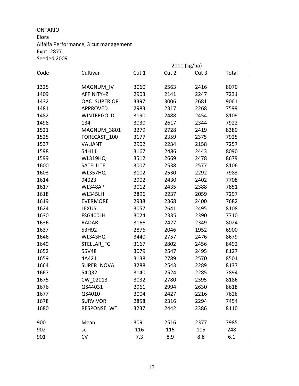ONTARIO Elora Alfalfa Performance, 3 cut management Expt. 2877 Seeded 2009

|      |                     |       | 2011 (kg/ha) |       |       |
|------|---------------------|-------|--------------|-------|-------|
| Code | Cultivar            | Cut 1 | Cut 2        | Cut 3 | Total |
|      |                     |       |              |       |       |
| 1325 | MAGNUM IV           | 3060  | 2563         | 2416  | 8070  |
| 1409 | AFFINITY+Z          | 2903  | 2141         | 2247  | 7231  |
| 1432 | <b>OAC SUPERIOR</b> | 3397  | 3006         | 2681  | 9061  |
| 1481 | <b>APPROVED</b>     | 2983  | 2317         | 2268  | 7599  |
| 1482 | <b>WINTERGOLD</b>   | 3190  | 2488         | 2454  | 8109  |
| 1498 | 134                 | 3030  | 2617         | 2344  | 7922  |
| 1521 | MAGNUM 3801         | 3279  | 2728         | 2419  | 8380  |
| 1525 | FORECAST 100        | 3177  | 2359         | 2375  | 7925  |
| 1537 | <b>VALIANT</b>      | 2902  | 2234         | 2158  | 7257  |
| 1598 | 54H11               | 3167  | 2486         | 2443  | 8090  |
| 1599 | WL319HQ             | 3512  | 2669         | 2478  | 8679  |
| 1600 | <b>SATELLITE</b>    | 3007  | 2538         | 2577  | 8106  |
| 1603 | WL357HQ             | 3102  | 2530         | 2292  | 7983  |
| 1614 | 94023               | 2902  | 2430         | 2402  | 7708  |
| 1617 | WL348AP             | 3012  | 2435         | 2388  | 7851  |
| 1618 | <b>WL345LH</b>      | 2896  | 2237         | 2059  | 7297  |
| 1619 | <b>EVERMORE</b>     | 2938  | 2368         | 2400  | 7682  |
| 1624 | <b>LEXUS</b>        | 3057  | 2641         | 2495  | 8108  |
| 1630 | FSG400LH            | 3024  | 2335         | 2390  | 7710  |
| 1636 | <b>RADAR</b>        | 3166  | 2427         | 2349  | 8024  |
| 1637 | 53H92               | 2876  | 2046         | 1952  | 6900  |
| 1646 | WL343HQ             | 3440  | 2757         | 2476  | 8679  |
| 1649 | STELLAR FG          | 3167  | 2802         | 2456  | 8492  |
| 1652 | 55V48               | 3079  | 2547         | 2495  | 8127  |
| 1659 | 4A421               | 3138  | 2789         | 2570  | 8501  |
| 1664 | SUPER NOVA          | 3288  | 2543         | 2289  | 8137  |
| 1667 | 54Q32               | 3140  | 2524         | 2285  | 7894  |
| 1675 | CW 02013            | 3032  | 2780         | 2395  | 8186  |
| 1676 | QS44031             | 2961  | 2994         | 2630  | 8618  |
| 1677 | QS4010              | 3004  | 2427         | 2216  | 7626  |
| 1678 | <b>SURVIVOR</b>     | 2858  | 2316         | 2294  | 7454  |
| 1680 | RESPONSE WT         | 3237  | 2442         | 2386  | 8110  |
|      |                     |       |              |       |       |
| 900  | Mean                | 3091  | 2516         | 2377  | 7985  |
| 902  | se                  | 116   | 115          | 105   | 248   |
| 901  | CV                  | 7.3   | 8.9          | 8.8   | 6.1   |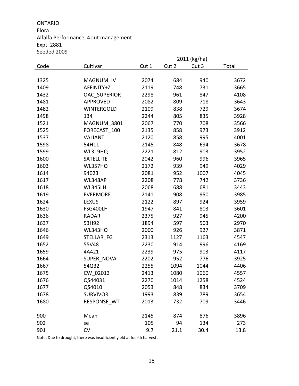#### ONTARIO Elora Alfalfa Performance, 4 cut management Expt. 2881 Seeded 2009

|      |                     |       |       | 2011 (kg/ha) |       |
|------|---------------------|-------|-------|--------------|-------|
| Code | Cultivar            | Cut 1 | Cut 2 | Cut 3        | Total |
|      |                     |       |       |              |       |
| 1325 | MAGNUM_IV           | 2074  | 684   | 940          | 3672  |
| 1409 | AFFINITY+Z          | 2119  | 748   | 731          | 3665  |
| 1432 | <b>OAC SUPERIOR</b> | 2298  | 961   | 847          | 4108  |
| 1481 | <b>APPROVED</b>     | 2082  | 809   | 718          | 3643  |
| 1482 | <b>WINTERGOLD</b>   | 2109  | 838   | 729          | 3674  |
| 1498 | 134                 | 2244  | 805   | 835          | 3928  |
| 1521 | MAGNUM_3801         | 2067  | 770   | 708          | 3566  |
| 1525 | FORECAST_100        | 2135  | 858   | 973          | 3912  |
| 1537 | <b>VALIANT</b>      | 2120  | 858   | 995          | 4001  |
| 1598 | 54H11               | 2145  | 848   | 694          | 3678  |
| 1599 | WL319HQ             | 2221  | 812   | 903          | 3952  |
| 1600 | SATELLITE           | 2042  | 960   | 996          | 3965  |
| 1603 | WL357HQ             | 2172  | 939   | 949          | 4029  |
| 1614 | 94023               | 2081  | 952   | 1007         | 4045  |
| 1617 | WL348AP             | 2208  | 778   | 742          | 3736  |
| 1618 | WL345LH             | 2068  | 688   | 681          | 3443  |
| 1619 | <b>EVERMORE</b>     | 2141  | 908   | 950          | 3985  |
| 1624 | <b>LEXUS</b>        | 2122  | 897   | 924          | 3959  |
| 1630 | FSG400LH            | 1947  | 841   | 803          | 3601  |
| 1636 | <b>RADAR</b>        | 2375  | 927   | 945          | 4200  |
| 1637 | 53H92               | 1894  | 597   | 503          | 2970  |
| 1646 | WL343HQ             | 2000  | 926   | 927          | 3871  |
| 1649 | STELLAR FG          | 2313  | 1127  | 1163         | 4547  |
| 1652 | 55V48               | 2230  | 914   | 996          | 4169  |
| 1659 | 4A421               | 2239  | 975   | 903          | 4117  |
| 1664 | SUPER NOVA          | 2202  | 952   | 776          | 3925  |
| 1667 | 54Q32               | 2255  | 1094  | 1044         | 4406  |
| 1675 | CW_02013            | 2413  | 1080  | 1060         | 4557  |
| 1676 | QS44031             | 2270  | 1014  | 1258         | 4524  |
| 1677 | QS4010              | 2053  | 848   | 834          | 3709  |
| 1678 | <b>SURVIVOR</b>     | 1993  | 839   | 789          | 3654  |
| 1680 | RESPONSE WT         | 2013  | 732   | 709          | 3446  |
| 900  | Mean                | 2145  | 874   | 876          | 3896  |
| 902  | se                  | 105   | 94    | 134          | 273   |
| 901  | CV                  | 9.7   | 21.1  | 30.4         | 13.8  |

Note: Due to drought, there was insufficient yield at fourth harvest.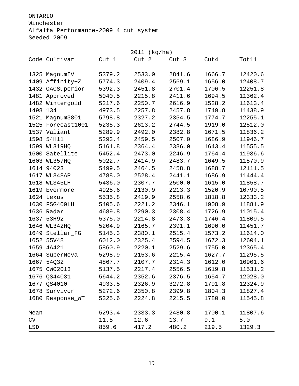ONTARIO

#### Winchester

# Alfalfa Performance-2009 4 cut system

Seeded 2009

|          | 2011 (kg/ha)      |                  |        |                  |        |         |  |  |
|----------|-------------------|------------------|--------|------------------|--------|---------|--|--|
|          | Code Cultivar     | Cut <sub>1</sub> | Cut 2  | Cut <sub>3</sub> | Cut4   | Tot11   |  |  |
|          |                   |                  |        |                  |        |         |  |  |
|          | 1325 MagnumIV     | 5379.2           | 2533.0 | 2841.6           | 1666.7 | 12420.6 |  |  |
|          | 1409 Affinity+Z   | 5774.3           | 2409.4 | 2569.1           | 1656.0 | 12408.7 |  |  |
|          | 1432 OACSuperior  | 5392.3           | 2451.8 | 2701.4           | 1706.5 | 12251.8 |  |  |
|          | 1481 Approved     | 5040.5           | 2215.8 | 2411.6           | 1694.5 | 11362.4 |  |  |
|          | 1482 Wintergold   | 5217.6           | 2250.7 | 2616.9           | 1528.2 | 11613.4 |  |  |
| 1498 134 |                   | 4973.5           | 2257.8 | 2457.8           | 1749.8 | 11438.9 |  |  |
|          | 1521 Magnum3801   | 5798.8           | 2327.2 | 2354.5           | 1774.7 | 12255.1 |  |  |
|          | 1525 Forecast1001 | 5235.3           | 2613.2 | 2744.5           | 1919.0 | 12512.0 |  |  |
|          | 1537 Valiant      | 5289.9           | 2492.0 | 2382.8           | 1671.5 | 11836.2 |  |  |
|          | 1598 54H11        | 5293.4           | 2459.5 | 2507.0           | 1686.9 | 11946.7 |  |  |
|          | 1599 WL319HQ      | 5161.8           | 2364.4 | 2386.0           | 1643.4 | 11555.5 |  |  |
| 1600     | Satellite         | 5452.4           | 2473.0 | 2246.9           | 1764.4 | 11936.6 |  |  |
|          | 1603 WL357HQ      | 5022.7           | 2414.9 | 2483.7           | 1649.5 | 11570.9 |  |  |
|          | 1614 94023        | 5499.5           | 2464.5 | 2458.8           | 1688.7 | 12111.5 |  |  |
|          | 1617 WL348AP      | 4788.0           | 2528.4 | 2441.1           | 1686.9 | 11444.4 |  |  |
| 1618     | WL345LH           | 5436.0           | 2307.7 | 2500.0           | 1615.0 | 11858.7 |  |  |
|          | 1619 Evermore     | 4925.6           | 2130.9 | 2213.3           | 1520.9 | 10790.5 |  |  |
|          | 1624 Lexus        | 5535.8           | 2419.9 | 2558.6           | 1818.8 | 12333.2 |  |  |
|          | 1630 FSG400LH     | 5405.6           | 2221.2 | 2346.1           | 1908.9 | 11881.9 |  |  |
|          | 1636 Radar        | 4689.8           | 2290.3 | 2308.4           | 1726.9 | 11015.4 |  |  |
|          | 1637 53H92        | 5375.0           | 2214.8 | 2473.3           | 1746.4 | 11809.5 |  |  |
| 1646     | WL342HQ           | 5204.9           | 2165.7 | 2391.1           | 1690.0 | 11451.7 |  |  |
|          | 1649 Stellar_FG   | 5145.3           | 2380.1 | 2515.4           | 1573.2 | 11614.0 |  |  |
|          | 1652 55V48        | 6012.0           | 2325.4 | 2594.5           | 1672.3 | 12604.1 |  |  |
|          | 1659 4A421        | 5860.9           | 2220.1 | 2529.6           | 1755.0 | 12365.4 |  |  |
|          | 1664 SuperNova    | 5298.9           | 2153.6 | 2215.4           | 1627.7 | 11295.5 |  |  |
| 1667     | 54Q32             | 4867.7           | 2107.7 | 2314.3           | 1612.0 | 10901.6 |  |  |
|          | 1675 CW02013      | 5137.5           | 2217.4 | 2556.5           | 1619.8 | 11531.2 |  |  |
|          | 1676 QS44031      | 5644.2           | 2352.6 | 2376.5           | 1654.7 | 12028.0 |  |  |
|          | 1677 OS4010       | 4933.5           | 2326.9 | 3272.8           | 1791.8 | 12324.9 |  |  |
|          | 1678 Survivor     | 5272.6           | 2350.8 | 2399.8           | 1804.3 | 11827.4 |  |  |
|          | 1680 Response_WT  | 5325.6           | 2224.8 | 2215.5           | 1780.0 | 11545.8 |  |  |
|          |                   |                  |        |                  |        |         |  |  |
| Mean     |                   | 5293.4           | 2333.3 | 2480.8           | 1700.1 | 11807.6 |  |  |
| CV       |                   | 11.5             | 12.6   | 13.7             | 9.1    | 8.0     |  |  |
| LSD      |                   | 859.6            | 417.2  | 480.2            | 219.5  | 1329.3  |  |  |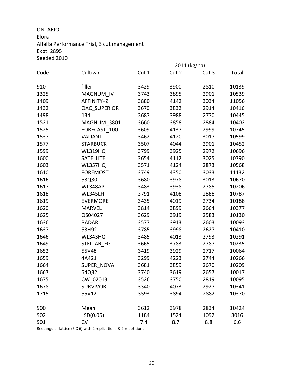ONTARIO Elora Alfalfa Performance Trial, 3 cut management Expt. 2895 Seeded 2010

|      |                     |       | 2011 (kg/ha) |       |       |
|------|---------------------|-------|--------------|-------|-------|
| Code | Cultivar            | Cut 1 | Cut 2        | Cut 3 | Total |
|      |                     |       |              |       |       |
| 910  | filler              | 3429  | 3900         | 2810  | 10139 |
| 1325 | MAGNUM IV           | 3743  | 3895         | 2901  | 10539 |
| 1409 | AFFINITY+Z          | 3880  | 4142         | 3034  | 11056 |
| 1432 | <b>OAC SUPERIOR</b> | 3670  | 3832         | 2914  | 10416 |
| 1498 | 134                 | 3687  | 3988         | 2770  | 10445 |
| 1521 | MAGNUM 3801         | 3660  | 3858         | 2884  | 10402 |
| 1525 | FORECAST 100        | 3609  | 4137         | 2999  | 10745 |
| 1537 | <b>VALIANT</b>      | 3462  | 4120         | 3017  | 10599 |
| 1577 | <b>STARBUCK</b>     | 3507  | 4044         | 2901  | 10452 |
| 1599 | <b>WL319HQ</b>      | 3799  | 3925         | 2972  | 10696 |
| 1600 | SATELLITE           | 3654  | 4112         | 3025  | 10790 |
| 1603 | WL357HQ             | 3571  | 4124         | 2873  | 10568 |
| 1610 | <b>FOREMOST</b>     | 3749  | 4350         | 3033  | 11132 |
| 1616 | 53Q30               | 3680  | 3978         | 3013  | 10670 |
| 1617 | WL348AP             | 3483  | 3938         | 2785  | 10206 |
| 1618 | WL345LH             | 3791  | 4108         | 2888  | 10787 |
| 1619 | EVERMORE            | 3435  | 4019         | 2734  | 10188 |
| 1620 | <b>MARVEL</b>       | 3814  | 3899         | 2664  | 10377 |
| 1625 | QS04027             | 3629  | 3919         | 2583  | 10130 |
| 1636 | <b>RADAR</b>        | 3577  | 3913         | 2603  | 10093 |
| 1637 | 53H92               | 3785  | 3998         | 2627  | 10410 |
| 1646 | WL343HQ             | 3485  | 4013         | 2793  | 10291 |
| 1649 | STELLAR FG          | 3665  | 3783         | 2787  | 10235 |
| 1652 | 55V48               | 3419  | 3929         | 2717  | 10064 |
| 1659 | 4A421               | 3299  | 4223         | 2744  | 10266 |
| 1664 | SUPER_NOVA          | 3681  | 3859         | 2670  | 10209 |
| 1667 | 54Q32               | 3740  | 3619         | 2657  | 10017 |
| 1675 | CW 02013            | 3526  | 3750         | 2819  | 10095 |
| 1678 | <b>SURVIVOR</b>     | 3340  | 4073         | 2927  | 10341 |
| 1715 | 55V12               | 3593  | 3894         | 2882  | 10370 |
|      |                     |       |              |       |       |
| 900  | Mean                | 3612  | 3978         | 2834  | 10424 |
| 902  | LSD(0.05)           | 1184  | 1524         | 1092  | 3016  |
| 901  | <b>CV</b>           | 7.4   | 8.7          | 8.8   | 6.6   |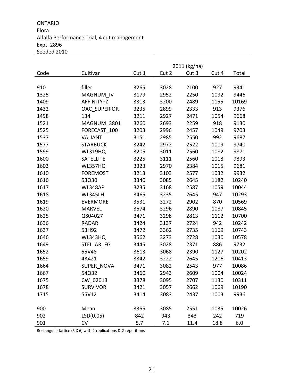ONTARIO Elora Alfalfa Performance Trial, 4 cut management Expt. 2896 Seeded 2010

|      |                     |       |       | 2011 (kg/ha) |       |       |
|------|---------------------|-------|-------|--------------|-------|-------|
| Code | Cultivar            | Cut 1 | Cut 2 | Cut 3        | Cut 4 | Total |
|      |                     |       |       |              |       |       |
| 910  | filler              | 3265  | 3028  | 2100         | 927   | 9341  |
| 1325 | MAGNUM_IV           | 3179  | 2952  | 2250         | 1092  | 9446  |
| 1409 | AFFINITY+Z          | 3313  | 3200  | 2489         | 1155  | 10169 |
| 1432 | <b>OAC SUPERIOR</b> | 3235  | 2899  | 2333         | 913   | 9376  |
| 1498 | 134                 | 3211  | 2927  | 2471         | 1054  | 9668  |
| 1521 | MAGNUM_3801         | 3260  | 2693  | 2259         | 918   | 9130  |
| 1525 | FORECAST 100        | 3203  | 2996  | 2457         | 1049  | 9703  |
| 1537 | <b>VALIANT</b>      | 3151  | 2985  | 2550         | 992   | 9687  |
| 1577 | <b>STARBUCK</b>     | 3242  | 2972  | 2522         | 1009  | 9740  |
| 1599 | <b>WL319HQ</b>      | 3205  | 3011  | 2560         | 1082  | 9871  |
| 1600 | <b>SATELLITE</b>    | 3225  | 3111  | 2560         | 1018  | 9893  |
| 1603 | WL357HQ             | 3323  | 2970  | 2384         | 1015  | 9681  |
| 1610 | <b>FOREMOST</b>     | 3213  | 3103  | 2577         | 1032  | 9932  |
| 1616 | 53Q30               | 3340  | 3085  | 2645         | 1182  | 10240 |
| 1617 | WL348AP             | 3235  | 3168  | 2587         | 1059  | 10044 |
| 1618 | <b>WL345LH</b>      | 3465  | 3235  | 2645         | 947   | 10293 |
| 1619 | <b>EVERMORE</b>     | 3531  | 3272  | 2902         | 870   | 10569 |
| 1620 | <b>MARVEL</b>       | 3574  | 3296  | 2890         | 1087  | 10845 |
| 1625 | QS04027             | 3471  | 3298  | 2813         | 1112  | 10700 |
| 1636 | <b>RADAR</b>        | 3424  | 3137  | 2724         | 942   | 10242 |
| 1637 | 53H92               | 3472  | 3362  | 2735         | 1169  | 10743 |
| 1646 | WL343HQ             | 3562  | 3273  | 2728         | 1030  | 10578 |
| 1649 | STELLAR FG          | 3445  | 3028  | 2371         | 886   | 9732  |
| 1652 | 55V48               | 3613  | 3068  | 2390         | 1127  | 10202 |
| 1659 | 4A421               | 3342  | 3222  | 2645         | 1206  | 10413 |
| 1664 | SUPER NOVA          | 3471  | 3082  | 2543         | 977   | 10086 |
| 1667 | 54Q32               | 3460  | 2943  | 2609         | 1004  | 10024 |
| 1675 | CW_02013            | 3378  | 3095  | 2707         | 1130  | 10311 |
| 1678 | <b>SURVIVOR</b>     | 3421  | 3057  | 2662         | 1069  | 10190 |
| 1715 | 55V12               | 3414  | 3083  | 2437         | 1003  | 9936  |
|      |                     |       |       |              |       |       |
| 900  | Mean                | 3355  | 3085  | 2551         | 1035  | 10026 |
| 902  | LSD(0.05)           | 842   | 943   | 343          | 242   | 719   |
| 901  | CV                  | 5.7   | 7.1   | 11.4         | 18.8  | 6.0   |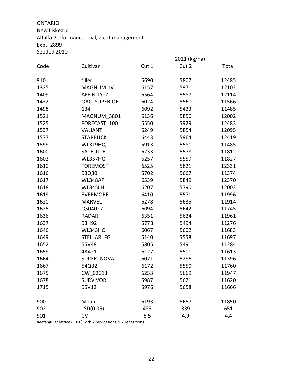#### ONTARIO New Liskeard Alfalfa Performance Trial, 2 cut management Expt. 2899 Seeded 2010

|      |                     |       | 2011 (kg/ha) |       |
|------|---------------------|-------|--------------|-------|
| Code | Cultivar            | Cut 1 | Cut 2        | Total |
|      |                     |       |              |       |
| 910  | filler              | 6690  | 5807         | 12485 |
| 1325 | MAGNUM IV           | 6157  | 5971         | 12102 |
| 1409 | AFFINITY+Z          | 6564  | 5587         | 12114 |
| 1432 | <b>OAC SUPERIOR</b> | 6024  | 5560         | 11566 |
| 1498 | 134                 | 6092  | 5433         | 11485 |
| 1521 | MAGNUM 3801         | 6136  | 5856         | 12002 |
| 1525 | FORECAST_100        | 6550  | 5929         | 12483 |
| 1537 | <b>VALIANT</b>      | 6249  | 5854         | 12095 |
| 1577 | <b>STARBUCK</b>     | 6443  | 5964         | 12419 |
| 1599 | <b>WL319HQ</b>      | 5913  | 5581         | 11485 |
| 1600 | <b>SATELLITE</b>    | 6233  | 5578         | 11812 |
| 1603 | WL357HQ             | 6257  | 5559         | 11827 |
| 1610 | <b>FOREMOST</b>     | 6525  | 5821         | 12331 |
| 1616 | 53Q30               | 5702  | 5667         | 11374 |
| 1617 | WL348AP             | 6539  | 5849         | 12370 |
| 1618 | WL345LH             | 6207  | 5790         | 12002 |
| 1619 | <b>EVERMORE</b>     | 6410  | 5571         | 11996 |
| 1620 | <b>MARVEL</b>       | 6278  | 5635         | 11914 |
| 1625 | QS04027             | 6094  | 5642         | 11745 |
| 1636 | <b>RADAR</b>        | 6351  | 5624         | 11961 |
| 1637 | 53H92               | 5778  | 5494         | 11276 |
| 1646 | WL343HQ             | 6067  | 5602         | 11683 |
| 1649 | STELLAR FG          | 6140  | 5558         | 11697 |
| 1652 | 55V48               | 5805  | 5491         | 11284 |
| 1659 | 4A421               | 6127  | 5501         | 11613 |
| 1664 | SUPER_NOVA          | 6071  | 5296         | 11396 |
| 1667 | 54Q32               | 6172  | 5550         | 11760 |
| 1675 | CW 02013            | 6253  | 5669         | 11947 |
| 1678 | <b>SURVIVOR</b>     | 5987  | 5621         | 11620 |
| 1715 | 55V12               | 5976  | 5658         | 11666 |
|      |                     |       |              |       |
| 900  | Mean                | 6193  | 5657         | 11850 |
| 902  | LSD(0.05)           | 488   | 339          | 651   |
| 901  | <b>CV</b>           | 6.5   | 4.9          | 4.4   |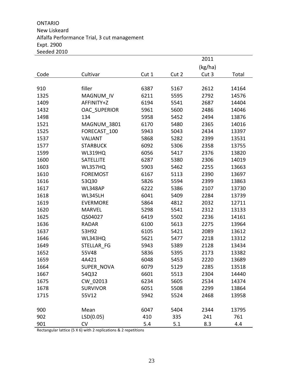ONTARIO New Liskeard Alfalfa Performance Trial, 3 cut management Expt. 2900 Seeded 2010

|      |                     |       |       | 2011    |       |
|------|---------------------|-------|-------|---------|-------|
|      |                     |       |       | (kg/ha) |       |
| Code | Cultivar            | Cut 1 | Cut 2 | Cut 3   | Total |
|      |                     |       |       |         |       |
| 910  | filler              | 6387  | 5167  | 2612    | 14164 |
| 1325 | MAGNUM IV           | 6211  | 5595  | 2792    | 14576 |
| 1409 | AFFINITY+Z          | 6194  | 5541  | 2687    | 14404 |
| 1432 | <b>OAC SUPERIOR</b> | 5961  | 5600  | 2486    | 14046 |
| 1498 | 134                 | 5958  | 5452  | 2494    | 13876 |
| 1521 | MAGNUM 3801         | 6170  | 5480  | 2365    | 14016 |
| 1525 | FORECAST 100        | 5943  | 5043  | 2434    | 13397 |
| 1537 | <b>VALIANT</b>      | 5868  | 5282  | 2399    | 13531 |
| 1577 | <b>STARBUCK</b>     | 6092  | 5306  | 2358    | 13755 |
| 1599 | <b>WL319HQ</b>      | 6056  | 5417  | 2376    | 13820 |
| 1600 | <b>SATELLITE</b>    | 6287  | 5380  | 2306    | 14019 |
| 1603 | WL357HQ             | 5903  | 5462  | 2255    | 13663 |
| 1610 | <b>FOREMOST</b>     | 6167  | 5113  | 2390    | 13697 |
| 1616 | 53Q30               | 5826  | 5594  | 2399    | 13863 |
| 1617 | WL348AP             | 6222  | 5386  | 2107    | 13730 |
| 1618 | WL345LH             | 6041  | 5409  | 2284    | 13739 |
| 1619 | <b>EVERMORE</b>     | 5864  | 4812  | 2032    | 12711 |
| 1620 | <b>MARVEL</b>       | 5298  | 5541  | 2312    | 13133 |
| 1625 | QS04027             | 6419  | 5502  | 2236    | 14161 |
| 1636 | <b>RADAR</b>        | 6100  | 5613  | 2275    | 13964 |
| 1637 | 53H92               | 6105  | 5421  | 2089    | 13612 |
| 1646 | WL343HQ             | 5621  | 5477  | 2218    | 13312 |
| 1649 | STELLAR FG          | 5943  | 5389  | 2128    | 13434 |
| 1652 | 55V48               | 5836  | 5395  | 2173    | 13382 |
| 1659 | 4A421               | 6048  | 5453  | 2220    | 13689 |
| 1664 | SUPER_NOVA          | 6079  | 5129  | 2285    | 13518 |
| 1667 | 54Q32               | 6601  | 5513  | 2304    | 14440 |
| 1675 | CW 02013            | 6234  | 5605  | 2534    | 14374 |
| 1678 | <b>SURVIVOR</b>     | 6051  | 5508  | 2299    | 13864 |
| 1715 | 55V12               | 5942  | 5524  | 2468    | 13958 |
|      |                     |       |       |         |       |
| 900  | Mean                | 6047  | 5404  | 2344    | 13795 |
| 902  | LSD(0.05)           | 410   | 335   | 241     | 761   |
| 901  | CV                  | 5.4   | 5.1   | 8.3     | 4.4   |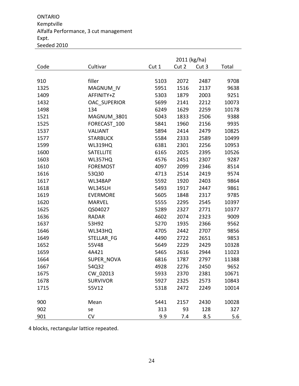ONTARIO Kemptville Alfalfa Performance, 3 cut management Expt. Seeded 2010

|      |                  | 2011 (kg/ha) |       |       |       |  |
|------|------------------|--------------|-------|-------|-------|--|
| Code | Cultivar         | Cut 1        | Cut 2 | Cut 3 | Total |  |
|      |                  |              |       |       |       |  |
| 910  | filler           | 5103         | 2072  | 2487  | 9708  |  |
| 1325 | MAGNUM IV        | 5951         | 1516  | 2137  | 9638  |  |
| 1409 | AFFINITY+Z       | 5303         | 1879  | 2003  | 9251  |  |
| 1432 | OAC SUPERIOR     | 5699         | 2141  | 2212  | 10073 |  |
| 1498 | 134              | 6249         | 1629  | 2259  | 10178 |  |
| 1521 | MAGNUM_3801      | 5043         | 1833  | 2506  | 9388  |  |
| 1525 | FORECAST 100     | 5841         | 1960  | 2156  | 9935  |  |
| 1537 | <b>VALIANT</b>   | 5894         | 2414  | 2479  | 10825 |  |
| 1577 | <b>STARBUCK</b>  | 5584         | 2333  | 2589  | 10499 |  |
| 1599 | WL319HQ          | 6381         | 2301  | 2256  | 10953 |  |
| 1600 | <b>SATELLITE</b> | 6165         | 2025  | 2395  | 10526 |  |
| 1603 | WL357HQ          | 4576         | 2451  | 2307  | 9287  |  |
| 1610 | <b>FOREMOST</b>  | 4097         | 2099  | 2346  | 8514  |  |
| 1616 | 53Q30            | 4713         | 2514  | 2419  | 9574  |  |
| 1617 | WL348AP          | 5592         | 1920  | 2403  | 9864  |  |
| 1618 | WL345LH          | 5493         | 1917  | 2447  | 9861  |  |
| 1619 | <b>EVERMORE</b>  | 5605         | 1848  | 2317  | 9785  |  |
| 1620 | <b>MARVEL</b>    | 5555         | 2295  | 2545  | 10397 |  |
| 1625 | QS04027          | 5289         | 2327  | 2771  | 10377 |  |
| 1636 | <b>RADAR</b>     | 4602         | 2074  | 2323  | 9009  |  |
| 1637 | 53H92            | 5270         | 1935  | 2366  | 9562  |  |
| 1646 | WL343HQ          | 4705         | 2442  | 2707  | 9856  |  |
| 1649 | STELLAR FG       | 4490         | 2722  | 2651  | 9853  |  |
| 1652 | 55V48            | 5649         | 2229  | 2429  | 10328 |  |
| 1659 | 4A421            | 5465         | 2616  | 2944  | 11023 |  |
| 1664 | SUPER NOVA       | 6816         | 1787  | 2797  | 11388 |  |
| 1667 | 54Q32            | 4928         | 2276  | 2450  | 9652  |  |
| 1675 | CW 02013         | 5933         | 2370  | 2381  | 10671 |  |
| 1678 | <b>SURVIVOR</b>  | 5927         | 2325  | 2573  | 10843 |  |
| 1715 | 55V12            | 5318         | 2472  | 2249  | 10014 |  |
|      |                  |              |       |       |       |  |
| 900  | Mean             | 5441         | 2157  | 2430  | 10028 |  |
| 902  | se               | 313          | 93    | 128   | 327   |  |
| 901  | CV               | 9.9          | 7.4   | 8.5   | 5.6   |  |

4 blocks, rectangular lattice repeated.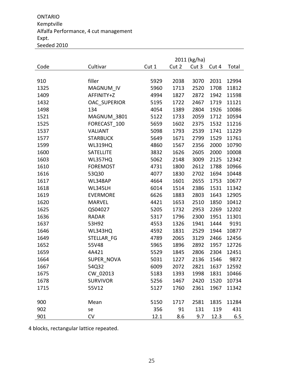ONTARIO Kemptville Alfalfa Performance, 4 cut management Expt. Seeded 2010

|      |                  | 2011 (kg/ha) |       |       |       |       |
|------|------------------|--------------|-------|-------|-------|-------|
| Code | Cultivar         | Cut 1        | Cut 2 | Cut 3 | Cut 4 | Total |
|      |                  |              |       |       |       |       |
| 910  | filler           | 5929         | 2038  | 3070  | 2031  | 12994 |
| 1325 | MAGNUM IV        | 5960         | 1713  | 2520  | 1708  | 11812 |
| 1409 | AFFINITY+Z       | 4994         | 1827  | 2872  | 1942  | 11598 |
| 1432 | OAC SUPERIOR     | 5195         | 1722  | 2467  | 1719  | 11121 |
| 1498 | 134              | 4054         | 1389  | 2804  | 1926  | 10086 |
| 1521 | MAGNUM 3801      | 5122         | 1733  | 2059  | 1712  | 10594 |
| 1525 | FORECAST 100     | 5659         | 1602  | 2375  | 1532  | 11216 |
| 1537 | <b>VALIANT</b>   | 5098         | 1793  | 2539  | 1741  | 11229 |
| 1577 | <b>STARBUCK</b>  | 5649         | 1671  | 2799  | 1529  | 11761 |
| 1599 | <b>WL319HQ</b>   | 4860         | 1567  | 2356  | 2000  | 10790 |
| 1600 | <b>SATELLITE</b> | 3832         | 1626  | 2605  | 2000  | 10008 |
| 1603 | WL357HQ          | 5062         | 2148  | 3009  | 2125  | 12342 |
| 1610 | <b>FOREMOST</b>  | 4731         | 1800  | 2612  | 1788  | 10966 |
| 1616 | 53Q30            | 4077         | 1830  | 2702  | 1694  | 10448 |
| 1617 | WL348AP          | 4664         | 1601  | 2655  | 1753  | 10677 |
| 1618 | WL345LH          | 6014         | 1514  | 2386  | 1531  | 11342 |
| 1619 | <b>EVERMORE</b>  | 6626         | 1883  | 2803  | 1643  | 12905 |
| 1620 | <b>MARVEL</b>    | 4421         | 1653  | 2510  | 1850  | 10412 |
| 1625 | QS04027          | 5205         | 1732  | 2953  | 2269  | 12202 |
| 1636 | <b>RADAR</b>     | 5317         | 1796  | 2300  | 1951  | 11301 |
| 1637 | 53H92            | 4553         | 1326  | 1941  | 1444  | 9191  |
| 1646 | WL343HQ          | 4592         | 1831  | 2529  | 1944  | 10877 |
| 1649 | STELLAR FG       | 4789         | 2065  | 3129  | 2466  | 12456 |
| 1652 | 55V48            | 5965         | 1896  | 2892  | 1957  | 12726 |
| 1659 | 4A421            | 5529         | 1845  | 2806  | 2304  | 12451 |
| 1664 | SUPER NOVA       | 5031         | 1227  | 2136  | 1546  | 9872  |
| 1667 | 54Q32            | 6009         | 2072  | 2821  | 1637  | 12592 |
| 1675 | CW_02013         | 5183         | 1393  | 1998  | 1831  | 10466 |
| 1678 | <b>SURVIVOR</b>  | 5256         | 1467  | 2420  | 1520  | 10734 |
| 1715 | 55V12            | 5127         | 1760  | 2361  | 1967  | 11342 |
|      |                  |              |       |       |       |       |
| 900  | Mean             | 5150         | 1717  | 2581  | 1835  | 11284 |
| 902  | se               | 356          | 91    | 131   | 119   | 431   |
| 901  | CV               | 12.1         | 8.6   | 9.7   | 12.3  | 6.5   |

4 blocks, rectangular lattice repeated.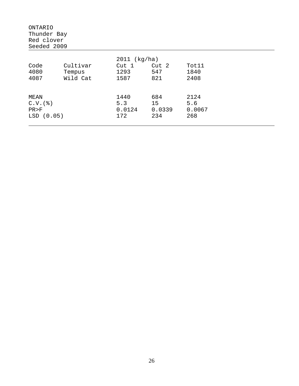| ONTARIO<br>Thunder Bay<br>Red clover<br>Seeded 2009 |                                |                                       |                            |                              |
|-----------------------------------------------------|--------------------------------|---------------------------------------|----------------------------|------------------------------|
| Code<br>4080<br>4087                                | Cultivar<br>Tempus<br>Wild Cat | 2011 (kg/ha)<br>Cut 1<br>1293<br>1587 | Cut 2<br>547<br>821        | Tot11<br>1840<br>2408        |
| MEAN<br>$C.V.$ $(%)$<br>PR > F<br>LSD(0.05)         |                                | 1440<br>5.3<br>0.0124<br>172          | 684<br>15<br>0.0339<br>234 | 2124<br>5.6<br>0.0067<br>268 |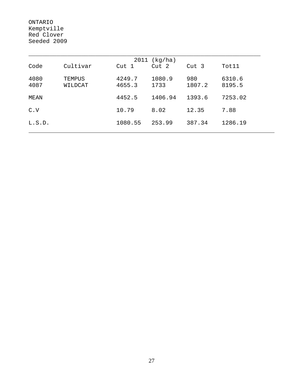ONTARIO Kemptville Red Clover Seeded 2009

|              | 2011 (kg/ha)      |                  |                |               |                  |  |  |  |  |  |
|--------------|-------------------|------------------|----------------|---------------|------------------|--|--|--|--|--|
| Code         | Cultivar          | Cut 1            | Cut 2          | Cut 3         | Tot11            |  |  |  |  |  |
| 4080<br>4087 | TEMPUS<br>WILDCAT | 4249.7<br>4655.3 | 1080.9<br>1733 | 980<br>1807.2 | 6310.6<br>8195.5 |  |  |  |  |  |
| MEAN         |                   | 4452.5           | 1406.94        | 1393.6        | 7253.02          |  |  |  |  |  |
| C.V          |                   | 10.79            | 8.02           | 12.35         | 7.88             |  |  |  |  |  |
| L.S.D.       |                   | 1080.55          | 253.99         | 387.34        | 1286.19          |  |  |  |  |  |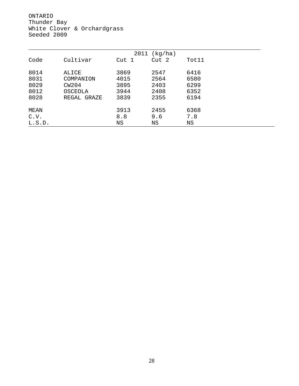ONTARIO Thunder Bay White Clover & Orchardgrass Seeded 2009

|        |             |       | 2011 (kg/ha) |       |  |
|--------|-------------|-------|--------------|-------|--|
| Code   | Cultivar    | Cut 1 | Cut 2        | Tot11 |  |
| 8014   | ALICE       | 3869  | 2547         | 6416  |  |
| 8031   | COMPANION   | 4015  | 2564         | 6580  |  |
| 8029   | CW204       | 3895  | 2403         | 6299  |  |
| 8012   | OSCEOLA     | 3944  | 2408         | 6352  |  |
| 8028   | REGAL GRAZE | 3839  | 2355         | 6194  |  |
| MEAN   |             | 3913  | 2455         | 6368  |  |
| C.V.   |             | 8.8   | 9.6          | 7.8   |  |
| L.S.D. |             | ΝS    | ΝS           | ΝS    |  |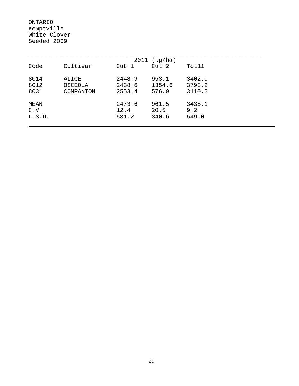ONTARIO Kemptville White Clover Seeded 2009

| 2011 (kg/ha)          |                               |                            |                          |                            |  |  |  |  |
|-----------------------|-------------------------------|----------------------------|--------------------------|----------------------------|--|--|--|--|
| Code                  | Cultivar                      | Cut 1                      | Cut <sub>2</sub>         | Tot11                      |  |  |  |  |
| 8014<br>8012<br>8031  | ALICE<br>OSCEOLA<br>COMPANION | 2448.9<br>2438.6<br>2553.4 | 953.1<br>1354.6<br>576.9 | 3402.0<br>3793.2<br>3110.2 |  |  |  |  |
| MEAN<br>C.V<br>L.S.D. |                               | 2473.6<br>12.4<br>531.2    | 961.5<br>20.5<br>340.6   | 3435.1<br>9.2<br>549.0     |  |  |  |  |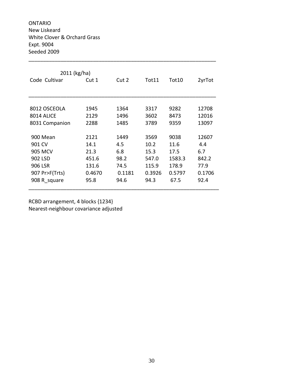ONTARIO New Liskeard White Clover & Orchard Grass Expt. 9004 Seeded 2009

| 2011 (kg/ha)   |        |        |        |        |        |  |  |  |  |
|----------------|--------|--------|--------|--------|--------|--|--|--|--|
| Code Cultivar  | Cut 1  | Cut 2  | Tot11  | Tot10  | 2yrTot |  |  |  |  |
|                |        |        |        |        |        |  |  |  |  |
|                |        |        |        |        |        |  |  |  |  |
| 8012 OSCEOLA   | 1945   | 1364   | 3317   | 9282   | 12708  |  |  |  |  |
| 8014 ALICF     | 2129   | 1496   | 3602   | 8473   | 12016  |  |  |  |  |
| 8031 Companion | 2288   | 1485   | 3789   | 9359   | 13097  |  |  |  |  |
|                |        |        |        |        |        |  |  |  |  |
| 900 Mean       | 2121   | 1449   | 3569   | 9038   | 12607  |  |  |  |  |
| 901 CV         | 14.1   | 4.5    | 10.2   | 11.6   | 4.4    |  |  |  |  |
| 905 MCV        | 21.3   | 6.8    | 15.3   | 17.5   | 6.7    |  |  |  |  |
| 902 LSD        | 451.6  | 98.2   | 547.0  | 1583.3 | 842.2  |  |  |  |  |
| 906 LSR        | 131.6  | 74.5   | 115.9  | 178.9  | 77.9   |  |  |  |  |
| 907 Pr>F(Trts) | 0.4670 | 0.1181 | 0.3926 | 0.5797 | 0.1706 |  |  |  |  |
| 908 R square   | 95.8   | 94.6   | 94.3   | 67.5   | 92.4   |  |  |  |  |
|                |        |        |        |        |        |  |  |  |  |

\_\_\_\_\_\_\_\_\_\_\_\_\_\_\_\_\_\_\_\_\_\_\_\_\_\_\_\_\_\_\_\_\_\_\_\_\_\_\_\_\_\_\_\_\_\_\_\_\_\_\_\_\_\_\_\_\_\_\_\_\_\_\_\_

RCBD arrangement, 4 blocks {1234} Nearest‐neighbour covariance adjusted

30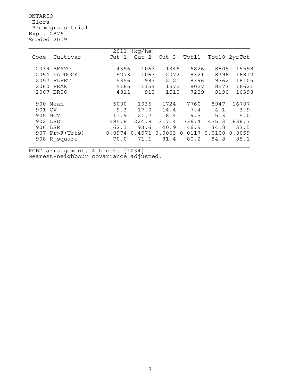ONTARIO Elora Bromegrass trial Expt. 2876 Seeded 2009

|            |                  | 2011   | (kq/ha) |        |        |        |              |
|------------|------------------|--------|---------|--------|--------|--------|--------------|
| Code       | Cultivar         | Cut 1  | Cut 2   | Cut 3  | Tot11  |        | Tot10 2yrTot |
|            |                  |        |         |        |        |        |              |
| 2039 BRAVO |                  | 4396   | 1063    | 1346   | 6826   | 8809   | 15598        |
| 2054       | PADDOCK          | 5273   | 1063    | 2072   | 8321   | 8396   | 16812        |
| 2057       | FLEET            | 5356   | 983     | 2121   | 8396   | 9762   | 18105        |
| 2060       | PEAK             | 5165   | 1154    | 1572   | 8027   | 8573   | 16621        |
| 2067       | BR06             | 4811   | 913     | 1510   | 7229   | 9196   | 16398        |
|            |                  |        |         |        |        |        |              |
| 900        | Mean             | 5000   | 1035    | 1724   | 7760   | 8947   | 16707        |
| CV<br>901  |                  | 9.3    | 17.0    | 14.4   | 7.4    | 4.1    | 3.9          |
| 905        | MCV              | 11.9   | 21.7    | 18.4   | 9.5    | 5.3    | 5.0          |
| 902 LSD    |                  | 595.8  | 224.9   | 317.4  | 736.4  | 475.3  | 838.7        |
| 906 LSR    |                  | 62.1   | 93.6    | 40.9   | 46.9   | 34.8   | 33.5         |
|            | $907$ Pr>F(Trts) | 0.0974 | 0.4571  | 0.0063 | 0.0117 | 0.0100 | 0.0059       |
| 908        | R square         | 70.0   | 71.1    | 81.4   | 80.2   | 84.8   | 85.1         |
|            |                  |        |         |        |        |        |              |

RCBD arrangement, 4 blocks {1234} Nearest-neighbour covariance adjusted.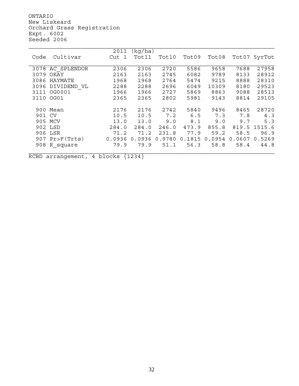ONTARIO New Liskeard Orchard Grass Registration Expt. 6002 Seeded 2006

|        |                | 2011   | (kg/ha) |        |                   |        |            |        |
|--------|----------------|--------|---------|--------|-------------------|--------|------------|--------|
| Code   | Cultivar       | Cut 1  | Tot11   | Tot10  | Tot09             | Tot08  | Tot07      | 5yrTot |
|        |                |        |         |        |                   |        |            |        |
| 3078   | AC SPLENDOR    | 2306   | 2306    | 2720   | 5586              | 9658   | 7688       | 27958  |
| 3079   | OKAY           | 2163   | 2163    | 2745   | 6082              | 9789   | 8133       | 28912  |
| 3086   | HAYMATE        | 1968   | 1968    | 2764   | 5474              | 9215   | 8888       | 28310  |
| 3096   | DIVIDEND VL    | 2288   | 2288    | 2696   | 6049              | 10309  | 8180       | 29523  |
| 3111   | OG0001         | 1966   | 1966    | 2727   | 5869              | 8863   | 9088       | 28513  |
| 3110   | OG01           | 2365   | 2365    | 2802   | 5981              | 9143   | 8814       | 29105  |
|        |                |        |         |        |                   |        |            |        |
|        | 900 Mean       | 2176   | 2176    | 2742   | 5840              | 9496   | 8465       | 28720  |
| 901 CV |                | 10.5   | 10.5    | 7.2    | 6.5               | 7.3    | 7.8        | 4.3    |
| 905    | MCV            | 13.0   | 13.0    | 9.0    | 8.1               | 9.0    | 9.7        | 5.3    |
|        | 902 LSD        | 284.0  | 284.0   | 246.0  | 473.9             | 855.8  | 819.5      | 1515.6 |
| 906    | LSR            | 71.2   | 71.2    | 231.8  | 77.9              | 59.2   | 58.5       | 96.9   |
|        | 907 Pr>F(Trts) | 0.0936 | 0.0936  | 0.9780 | .1815<br>$\Omega$ | 0.0954 | 0607<br>0. | 0.5269 |
| 908    | R square       | 79.9   | 79.9    | 51.1   | 56.3              | 58.8   | 58.4       | 44.8   |
|        |                |        |         |        |                   |        |            |        |

RCBD arrangement, 4 blocks {1234}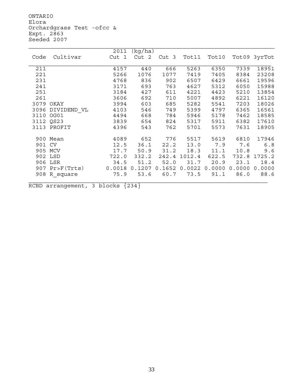ONTARIO Elora Orchardgrass Test -ofcc & Expt. 2863 Seeded 2007

|           |                        | 2011   | (kq/ha) |                  |              |        |        |              |
|-----------|------------------------|--------|---------|------------------|--------------|--------|--------|--------------|
| Code      | Cultivar               | Cut 1  | Cut 2   | Cut <sub>3</sub> | Tot11        | Tot10  |        | Tot09 3yrTot |
|           |                        |        |         |                  |              |        |        |              |
| 211       |                        | 4157   | 440     | 666              | 5263         | 6350   | 7339   | 18951        |
| 221       |                        | 5266   | 1076    | 1077             | 7419         | 7405   | 8384   | 23208        |
| 231       |                        | 4768   | 836     | 902              | 6507         | 6429   | 6661   | 19596        |
| 241       |                        | 3171   | 693     | 763              | 4627         | 5312   | 6050   | 15988        |
| 251       |                        | 3184   | 427     | 611              | 4221         | 4423   | 5210   | 13854        |
| 261       |                        | 3606   | 692     | 710              | 5007         | 4892   | 6221   | 16120        |
|           | 3079 OKAY              | 3994   | 603     | 685              | 5282         | 5541   | 7203   | 18026        |
|           | 3096 DIVIDEND VL       | 4103   | 546     | 749              | 5399         | 4797   | 6365   | 16561        |
| 3110 OG01 |                        | 4494   | 668     | 784              | 5946         | 5178   | 7462   | 18585        |
|           | 3112 QS23              | 3839   | 654     | 824              | 5317         | 5911   | 6382   | 17610        |
|           | 3113 PROFIT            | 4396   | 543     | 762              | 5701         | 5573   | 7631   | 18905        |
|           |                        |        |         |                  |              |        |        |              |
|           | 900 Mean               | 4089   | 652     | 776              | 5517         | 5619   | 6810   | 17946        |
| 901 CV    |                        | 12.5   | 36.1    | 22.2             | 13.0         | 7.9    | 7.6    | 6.8          |
|           | 905 MCV                | 17.7   | 50.9    | 31.2             | 18.3         | 11.1   | 10.8   | 9.6          |
|           | 902 LSD                | 722.0  | 332.2   |                  | 242.4 1012.4 | 622.5  | 732.8  | 1725.2       |
|           | 906 LSR                | 34.5   | 51.2    | 52.0             | 31.7         | 20.9   | 23.1   | 18.4         |
|           | $907 \text{Pr}$ (Trts) | 0.0018 | 0.1207  | 0.1652           | 0.0022       | 0.0000 | 0.0000 | 0.0000       |
|           | 908 R square           | 75.9   | 53.6    | 60.7             | 73.5         | 91.1   | 86.0   | 88.6         |
|           |                        |        |         |                  |              |        |        |              |
|           |                        |        |         |                  |              |        |        |              |

RCBD arrangement, 3 blocks  ${234}$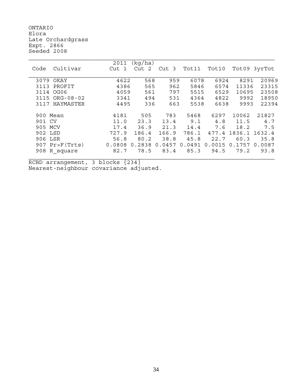ONTARIO Elora Late Orchardgrass Expt. 2866 Seeded 2008

|                   | 2011   | (kg/ha)               |                  |        |                   |        |              |
|-------------------|--------|-----------------------|------------------|--------|-------------------|--------|--------------|
| Cultivar<br>Code  | Cut 1  | $\overline{2}$<br>Cut | Cut <sub>3</sub> | Tot11  | Tot10             |        | Tot09 3yrTot |
|                   |        |                       |                  |        |                   |        |              |
| 3079<br>OKAY      | 4622   | 568                   | 959              | 6078   | 6924              | 8291   | 20969        |
| PROFIT<br>3113    | 4386   | 565                   | 962              | 5846   | 6574              | 11336  | 23315        |
| OG06<br>3114      | 4059   | 561                   | 797              | 5515   | 6529              | 10695  | 23508        |
| 3115 ORG-08-02    | 3341   | 494                   | 531              | 4364   | 4822              | 9992   | 18950        |
| HAYMASTER<br>3117 | 4495   | 336                   | 663              | 5538   | 6638              | 9993   | 22394        |
|                   |        |                       |                  |        |                   |        |              |
| 900 Mean          | 4181   | 505                   | 783              | 5468   | 6297              | 10062  | 21827        |
| 901 CV            | 11.0   | 23.3                  | 13.4             | 9.1    | 4.8               | 11.5   | 4.7          |
| 905 MCV           | 17.4   | 36.9                  | 21.3             | 14.4   | 7.6               | 18.2   | 7.5          |
| 902 LSD           | 727.9  | 186.4                 | 166.9            | 786.1  | 477.4             | 1836.1 | 1632.4       |
| 906 LSR           | 56.8   | 80.2                  | 38.8             | 45.8   | 22.7              | 60.3   | 35.8         |
| $907$ Pr>F(Trts)  | 0.0808 | 0.2838                | 0.0457           | 0.0491 | .0015<br>$\Omega$ | 0.1757 | 0.0087       |
| 908 R square      | 82.7   | 78.5                  | 83.4             | 85.3   | 94.5              | 79.2   | 93.8         |
|                   |        |                       |                  |        |                   |        |              |

RCBD arrangement, 3 blocks {234} Nearest-neighbour covariance adjusted.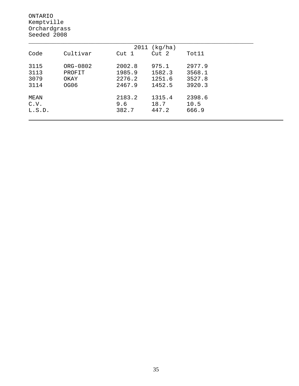ONTARIO Kemptville Orchardgrass Seeded 2008

| 2011<br>(kg/ha) |          |        |        |        |  |  |  |  |  |
|-----------------|----------|--------|--------|--------|--|--|--|--|--|
| Code            | Cultivar | Cut 1  | Cut 2  | Tot11  |  |  |  |  |  |
|                 |          |        |        |        |  |  |  |  |  |
| 3115            | ORG-0802 | 2002.8 | 975.1  | 2977.9 |  |  |  |  |  |
| 3113            | PROFIT   | 1985.9 | 1582.3 | 3568.1 |  |  |  |  |  |
| 3079            | OKAY     | 2276.2 | 1251.6 | 3527.8 |  |  |  |  |  |
| 3114            | OG06     | 2467.9 | 1452.5 | 3920.3 |  |  |  |  |  |
|                 |          |        |        |        |  |  |  |  |  |
| MEAN            |          | 2183.2 | 1315.4 | 2398.6 |  |  |  |  |  |
| C.V.            |          | 9.6    | 18.7   | 10.5   |  |  |  |  |  |
| L.S.D.          |          | 382.7  | 447.2  | 666.9  |  |  |  |  |  |
|                 |          |        |        |        |  |  |  |  |  |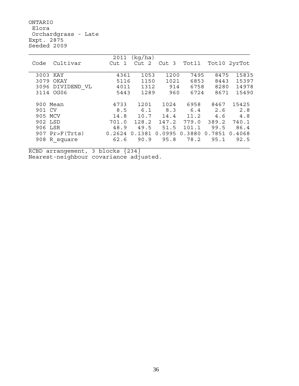ONTARIO Elora Orchardgrass - Late Expt. 2875 Seeded 2009

|                     | 2011   | (kg/ha) |        |        |        |        |
|---------------------|--------|---------|--------|--------|--------|--------|
| Cultivar<br>Code    | Cut 1  | Cut 2   | Cut 3  | Tot11  | Tot10  | 2yrTot |
|                     |        |         |        |        |        |        |
| 3003 KAY            | 4361   | 1053    | 1200   | 7495   | 8475   | 15835  |
| 3079<br>OKAY        | 5116   | 1150    | 1021   | 6853   | 8443   | 15397  |
| 3096<br>DIVIDEND VL | 4011   | 1312    | 914    | 6758   | 8280   | 14978  |
| 3114 OG06           | 5443   | 1289    | 960    | 6724   | 8671   | 15490  |
|                     |        |         |        |        |        |        |
| Mean<br>900         | 4733   | 1201    | 1024   | 6958   | 8467   | 15425  |
| CV<br>901           | 8.5    | 6.1     | 8.3    | 6.4    | 2.6    | 2.8    |
| MCV<br>905          | 14.8   | 10.7    | 14.4   | 11.2   | 4.6    | 4.8    |
| 902 LSD             | 701.0  | 128.2   | 147.2  | 779.0  | 389.2  | 740.1  |
| 906 LSR             | 48.9   | 49.5    | 51.5   | 101.1  | 99.5   | 86.4   |
| $907$ Pr>F(Trts)    | 0.2624 | 0.1381  | 0.0995 | 0.3880 | 0.7851 | 0.4068 |
| R square<br>908     | 62.6   | 90.9    | 95.8   | 78.2   | 95.1   | 92.5   |
|                     |        |         |        |        |        |        |

RCBD arrangement, 3 blocks {234} Nearest-neighbour covariance adjusted.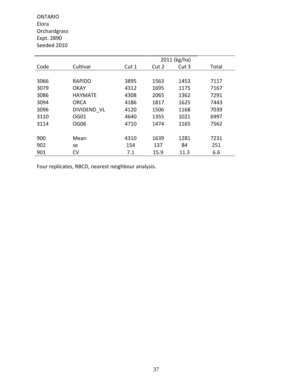ONTARIO Elora Orchardgrass Expt. 2890 Seeded 2010

|      |                | 2011 (kg/ha) |       |       |       |  |  |  |
|------|----------------|--------------|-------|-------|-------|--|--|--|
| Code | Cultivar       | Cut 1        | Cut 2 | Cut 3 | Total |  |  |  |
|      |                |              |       |       |       |  |  |  |
| 3066 | <b>RAPIDO</b>  | 3895         | 1563  | 1453  | 7117  |  |  |  |
| 3079 | <b>OKAY</b>    | 4312         | 1695  | 1175  | 7167  |  |  |  |
| 3086 | <b>HAYMATE</b> | 4308         | 2065  | 1362  | 7291  |  |  |  |
| 3094 | <b>ORCA</b>    | 4186         | 1817  | 1625  | 7443  |  |  |  |
| 3096 | DIVIDEND VL    | 4120         | 1506  | 1168  | 7039  |  |  |  |
| 3110 | OG01           | 4640         | 1355  | 1021  | 6997  |  |  |  |
| 3114 | OG06           | 4710         | 1474  | 1165  | 7562  |  |  |  |
|      |                |              |       |       |       |  |  |  |
| 900  | Mean           | 4310         | 1639  | 1281  | 7231  |  |  |  |
| 902  | se             | 154          | 137   | 84    | 251   |  |  |  |
| 901  | CV             | 7.1          | 15.9  | 11.3  | 6.6   |  |  |  |

Four replicates, RBCD, nearest neighbour analysis.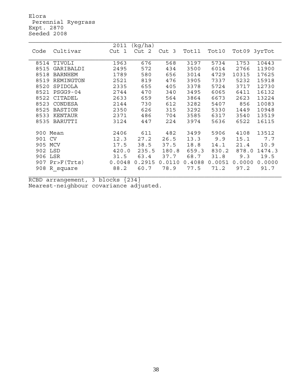Elora Perennial Ryegrass Expt. 2870 Seeded 2008

|          |                  | 2011   | (kg/ha) |                  |        |        |              |        |
|----------|------------------|--------|---------|------------------|--------|--------|--------------|--------|
| Code     | Cultivar         | Cut 1  | Cut 2   | Cut <sub>3</sub> | Tot11  | Tot10  | Tot09 3yrTot |        |
|          |                  |        |         |                  |        |        |              |        |
| 8514     | TIVOLI           | 1963   | 676     | 568              | 3197   | 5734   | 1753         | 10443  |
| 8515     | GARIBALDI        | 2495   | 572     | 434              | 3500   | 6014   | 2766         | 11900  |
| 8518     | <b>BARNHEM</b>   | 1789   | 580     | 656              | 3014   | 4729   | 10315        | 17625  |
| 8519     | REMINGTON        | 2521   | 819     | 476              | 3905   | 7337   | 5232         | 15918  |
| 8520     | SPIDOLA          | 2335   | 655     | 405              | 3378   | 5724   | 3717         | 12730  |
| 8521     | <b>PSGG9-04</b>  | 2744   | 470     | 340              | 3495   | 6065   | 6411         | 16132  |
| 8522     | CITADEL          | 2633   | 659     | 564              | 3864   | 6673   | 2623         | 13224  |
| 8523     | CONDESA          | 2144   | 730     | 612              | 3282   | 5407   | 856          | 10083  |
| 8525     | <b>BASTION</b>   | 2350   | 626     | 315              | 3292   | 5330   | 1449         | 10948  |
| 8533     | KENTAUR          | 2371   | 486     | 704              | 3585   | 6317   | 3540         | 13519  |
| 8535     | BARUTTI          | 3124   | 447     | 224              | 3974   | 5636   | 6522         | 16115  |
|          |                  |        |         |                  |        |        |              |        |
| 900 Mean |                  | 2406   | 611     | 482              | 3499   | 5906   | 4108         | 13512  |
| 901 CV   |                  | 12.3   | 27.2    | 26.5             | 13.3   | 9.9    | 15.1         | 7.7    |
| 905 MCV  |                  | 17.5   | 38.5    | 37.5             | 18.8   | 14.1   | 21.4         | 10.9   |
| 902 LSD  |                  | 420.0  | 235.5   | 180.8            | 659.3  | 830.2  | 878.0        | 1474.3 |
| 906 LSR  |                  | 31.5   | 63.4    | 37.7             | 68.7   | 31.8   | 9.3          | 19.5   |
|          | $907$ Pr>F(Trts) | 0.0048 | 0.2915  | 0.0110           | 0.4088 | 0.0051 | 0.0000       | 0.0000 |
| 908      | R square         | 88.2   | 60.7    | 78.9             | 77.5   | 71.2   | 97.2         | 91.7   |
|          |                  |        |         |                  |        |        |              |        |

RCBD arrangement, 3 blocks {234} Nearest-neighbour covariance adjusted.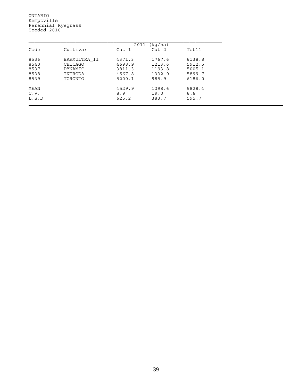ONTARIO Kemptville Perennial Ryegrass Seeded 2010

|       | (kg/ha)<br>2011 |        |                  |        |  |  |  |  |
|-------|-----------------|--------|------------------|--------|--|--|--|--|
| Code  | Cultivar        | Cut 1  | Cut <sub>2</sub> | Tot11  |  |  |  |  |
| 8536  | BARMULTRA II    | 4371.3 | 1767.6           | 6138.8 |  |  |  |  |
| 8540  | CHICAGO         | 4698.9 | 1213.6           | 5912.5 |  |  |  |  |
| 8537  | DYNAMIC         | 3811.3 | 1193.8           | 5005.1 |  |  |  |  |
| 8538  | INTRODA         | 4567.8 | 1332.0           | 5899.7 |  |  |  |  |
| 8539  | TORONTO         | 5200.1 | 985.9            | 6186.0 |  |  |  |  |
| MEAN  |                 | 4529.9 | 1298.6           | 5828.4 |  |  |  |  |
| C.V.  |                 | 8.9    | 19.0             | 6.6    |  |  |  |  |
| L.S.D |                 | 625.2  | 383.7            | 595.7  |  |  |  |  |
|       |                 |        |                  |        |  |  |  |  |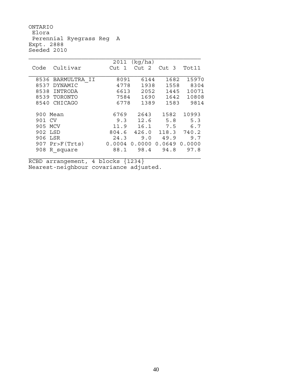ONTARIO Elora Perennial Ryegrass Reg A Expt. 2888 Seeded 2010

|                            | 2011   | (kq/ha)          |        |        |
|----------------------------|--------|------------------|--------|--------|
| Cultivar<br>Code           | Cut 1  | Cut <sub>2</sub> | Cut 3  | Tot11  |
| 8536<br>BARMULTRA II       | 8091   | 6144             | 1682   | 15970  |
| 8537<br>DYNAMIC            | 4778   | 1938             | 1558   | 8304   |
| 8538<br>INTRODA            | 6613   | 2052             | 1445   | 10071  |
| 8539 TORONTO               | 7584   | 1690             | 1642   | 10808  |
| CHICAGO<br>8540            | 6778   | 1389             | 1583   | 9814   |
| 900 Mean                   | 6769   | 2643             | 1582   | 10993  |
| 901 CV                     | 9.3    | 12.6             | 5.8    | 5.3    |
| 905 MCV                    | 11.9   | 16.1             | 7.5    | 6.7    |
| 902 LSD                    | 804.6  | 426.0            | 118.3  | 740.2  |
| 906 LSR                    | 24.3   | 9.0              | 49.9   | 9.7    |
| $907 \text{Pr}$ Pr>F(Trts) | 0.0004 | 0.0000           | 0.0649 | 0.0000 |
| 908<br>R square            | 88.1   | 98.4             | 94.8   | 97.8   |

RCBD arrangement, 4 blocks {1234} Nearest-neighbour covariance adjusted.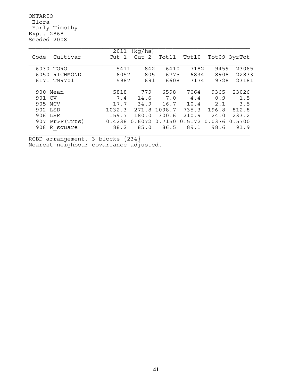ONTARIO Elora Early Timothy Expt. 2868 Seeded 2008

|                  | 2011   | (kq/ha) |        |        |        |              |
|------------------|--------|---------|--------|--------|--------|--------------|
| Cultivar<br>Code | Cut 1  | Cut 2   | Tot11  | Tot10  |        | Tot09 3yrTot |
|                  |        |         |        |        |        |              |
| 6030<br>TORO     | 5411   | 842     | 6410   | 7182   | 9459   | 23065        |
| RICHMOND<br>6050 | 6057   | 805     | 6775   | 6834   | 8908   | 22833        |
| TM9701<br>6171   | 5987   | 691     | 6608   | 7174   | 9728   | 23181        |
|                  |        |         |        |        |        |              |
| 900 Mean         | 5818   | 779     | 6598   | 7064   | 9365   | 23026        |
| 901 CV           | 7.4    | 14.6    | 7.0    | 4.4    | 0.9    | 1.5          |
| 905 MCV          | 17.7   | 34.9    | 16.7   | 10.4   | 2.1    | 3.5          |
| 902 LSD          | 1032.3 | 271.8   | 1098.7 | 735.3  | 196.8  | 812.8        |
| 906 LSR          | 159.7  | 180.0   | 300.6  | 210.9  | 24.0   | 233.2        |
| $907$ Pr>F(Trts) | 0.4238 | 0.6072  | 0.7150 | 0.5172 | 0.0376 | 0.5700       |
| 908 R square     | 88.2   | 85.0    | 86.5   | 89.1   | 98.6   | 91.9         |
|                  |        |         |        |        |        |              |

RCBD arrangement, 3 blocks {234} Nearest-neighbour covariance adjusted.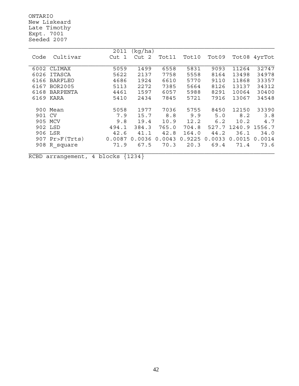ONTARIO New Liskeard Late Timothy Expt. 7001 Seeded 2007

|        |                | 2011                | (kg/ha) |        |        |        |        |        |
|--------|----------------|---------------------|---------|--------|--------|--------|--------|--------|
| Code   | Cultivar       | Cut<br>$\mathbf{1}$ | Cut 2   | Tot11  | Tot10  | Tot09  | Tot08  | 4yrTot |
|        |                |                     |         |        |        |        |        |        |
| 6002   | CLIMAX         | 5059                | 1499    | 6558   | 5831   | 9093   | 11264  | 32747  |
| 6026   | ITASCA         | 5622                | 2137    | 7758   | 5558   | 8164   | 13498  | 34978  |
| 6166   | <b>BARFLEO</b> | 4686                | 1924    | 6610   | 5770   | 9110   | 11868  | 33357  |
| 6167   | <b>BOR2005</b> | 5113                | 2272    | 7385   | 5664   | 8126   | 13137  | 34312  |
| 6168   | BARPENTA       | 4461                | 1597    | 6057   | 5988   | 8291   | 10064  | 30400  |
|        | 6169 KARA      | 5410                | 2434    | 7845   | 5721   | 7916   | 13067  | 34548  |
|        |                |                     |         |        |        |        |        |        |
|        | 900 Mean       | 5058                | 1977    | 7036   | 5755   | 8450   | 12150  | 33390  |
| 901 CV |                | 7.9                 | 15.7    | 8.8    | 9.9    | 5.0    | 8.2    | 3.8    |
| 905    | MCV            | 9.8                 | 19.4    | 10.9   | 12.2   | 6.2    | 10.2   | 4.7    |
|        | 902 LSD        | 494.1               | 384.3   | 765.0  | 704.8  | 527.7  | 1240.9 | 1556.7 |
| 906    | LSR            | 42.6                | 41.1    | 42.8   | 164.0  | 44.2   | 36.1   | 34.0   |
|        | 907 Pr>F(Trts) | 0.0087              | 0.0036  | 0.0043 | 0.9225 | 0.0033 | 0.0015 | 0.0014 |
| 908    | R square       | 71.9                | 67.5    | 70.3   | 20.3   | 69.4   | 71.4   | 73.6   |
|        |                |                     |         |        |        |        |        |        |

RCBD arrangement, 4 blocks {1234}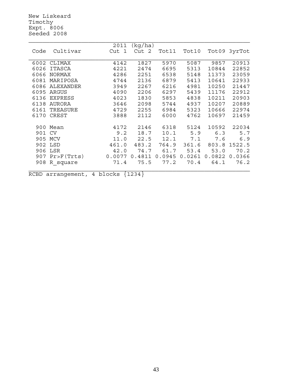New Liskeard Timothy Expt. 8006 Seeded 2008

|      |                | 2011   | (kg/ha) |        |        |        |              |
|------|----------------|--------|---------|--------|--------|--------|--------------|
| Code | Cultivar       | Cut 1  | Cut 2   | Tot11  | Tot10  |        | Tot09 3yrTot |
|      |                |        |         |        |        |        |              |
| 6002 | CLIMAX         | 4142   | 1827    | 5970   | 5087   | 9857   | 20913        |
| 6026 | <b>ITASCA</b>  | 4221   | 2474    | 6695   | 5313   | 10844  | 22852        |
| 6066 | <b>NORMAX</b>  | 4286   | 2251    | 6538   | 5148   | 11373  | 23059        |
| 6081 | MARIPOSA       | 4744   | 2136    | 6879   | 5413   | 10641  | 22933        |
| 6086 | ALEXANDER      | 3949   | 2267    | 6216   | 4981   | 10250  | 21447        |
| 6095 | ARGUS          | 4090   | 2206    | 6297   | 5439   | 11176  | 22912        |
| 6136 | <b>EXPRESS</b> | 4023   | 1830    | 5853   | 4838   | 10211  | 20903        |
| 6138 | AURORA         | 3646   | 2098    | 5744   | 4937   | 10207  | 20889        |
| 6161 | TREASURE       | 4729   | 2255    | 6984   | 5323   | 10666  | 22974        |
| 6170 | <b>CREST</b>   | 3888   | 2112    | 6000   | 4762   | 10697  | 21459        |
|      |                |        |         |        |        |        |              |
| 900  | Mean           | 4172   | 2146    | 6318   | 5124   | 10592  | 22034        |
| 901  | <b>CV</b>      | 9.2    | 18.7    | 10.1   | 5.9    | 6.3    | 5.7          |
| 905  | MCV            | 11.0   | 22.5    | 12.1   | 7.1    | 7.6    | 6.9          |
| 902  | LSD            | 461.0  | 483.2   | 764.9  | 361.6  | 803.8  | 1522.5       |
| 906  | LSR            | 42.0   | 74.7    | 61.7   | 53.4   | 53.0   | 70.2         |
| 907  | Pr>F(Trts)     | 0.0077 | 0.4811  | 0.0945 | 0.0261 | 0.0822 | 0.0366       |
| 908  | R square       | 71.4   | 75.5    | 77.2   | 70.4   | 64.1   | 76.2         |
|      |                |        |         |        |        |        |              |

RCBD arrangement, 4 blocks {1234}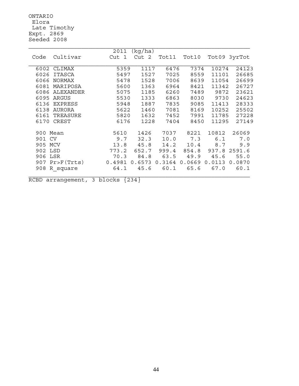ONTARIO Elora Late Timothy Expt. 2869 Seeded 2008

|          | 2011<br>(kq/ha)                   |                      |                                           |                 |       |        |              |  |  |
|----------|-----------------------------------|----------------------|-------------------------------------------|-----------------|-------|--------|--------------|--|--|
| Code     | Cultivar                          | Cut 1                | Cut 2                                     | Tot11           | Tot10 |        | Tot09 3yrTot |  |  |
|          |                                   |                      |                                           |                 |       |        |              |  |  |
|          | 6002 CLIMAX                       | 5359                 | 1117                                      | 6476            | 7374  | 10274  | 24123        |  |  |
| 6026     | ITASCA                            | 5497                 | 1527                                      | 7025            | 8559  | 11101  | 26685        |  |  |
| 6066     | NORMAX                            | 5478                 | 1528                                      | 7006            | 8639  | 11054  | 26699        |  |  |
| 6081     | MARIPOSA                          | 5600                 | 1363                                      | 6964            | 8421  | 11342  | 26727        |  |  |
| 6086     | ALEXANDER                         | 5075                 | 1185                                      | 6260            | 7489  | 9872   | 23621        |  |  |
| 6095     | ARGUS                             | 5530                 | 1333                                      | 6863            | 8030  | 9730   | 24623        |  |  |
| 6136     | <b>EXPRESS</b>                    | 5948                 | 1887                                      | 7835            | 9085  | 11413  | 28333        |  |  |
| 6138     | AURORA                            | 5622                 | 1460                                      | 7081            | 8169  | 10252  | 25502        |  |  |
| 6161     | TREASURE                          | 5820                 | 1632                                      | 7452            | 7991  | 11785  | 27228        |  |  |
| 6170     | CREST                             | 6176                 | 1228                                      | 7404            | 8450  | 11295  | 27149        |  |  |
| 900 Mean |                                   | 5610                 | 1426                                      | 7037            | 8221  | 10812  | 26069        |  |  |
| 901 CV   |                                   | 9.7                  | 32.3                                      | 10.0            | 7.3   | 6.1    | 7.0          |  |  |
| 905 MCV  |                                   | 13.8                 | 45.8                                      | 14.2            | 10.4  | 8.7    | 9.9          |  |  |
| 902 LSD  |                                   | 773.2                | 652.7                                     | 999.4           | 854.8 |        | 937.8 2591.6 |  |  |
| 906 LSR  |                                   | 70.3                 | 84.8                                      | 63.5            | 49.9  | 45.6   | 55.0         |  |  |
|          | 907 Pr>F(Trts)                    | 0.4981               | 0.6573                                    | $0.3164$ 0.0669 |       | 0.0113 | 0.0870       |  |  |
|          | 908 R square                      | 64.1                 | 45.6                                      | 60.1            | 65.6  | 67.0   | 60.1         |  |  |
| $R_{2}$  | <b>Contract Contract Contract</b> | $\sim$ $\sim$ $\sim$ | $\sim$ $\sim$ $\sim$ $\sim$ $\sim$ $\sim$ |                 |       |        |              |  |  |

RCBD arrangement, 3 blocks  ${234}$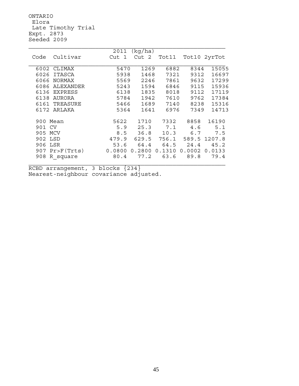ONTARIO Elora Late Timothy Trial Expt. 2873 Seeded 2009

|                        | 2011   | (kg/ha) |        |        |              |
|------------------------|--------|---------|--------|--------|--------------|
| Cultivar<br>Code       | Cut 1  | Cut 2   | Tot11  |        | Tot10 2yrTot |
|                        |        |         |        |        |              |
| 6002 CLIMAX            | 5470   | 1269    | 6882   | 8344   | 15055        |
| ITASCA<br>6026         | 5938   | 1468    | 7321   | 9312   | 16697        |
| 6066<br><b>NORMAX</b>  | 5569   | 2246    | 7861   | 9632   | 17299        |
| ALEXANDER<br>6086      | 5243   | 1594    | 6846   | 9115   | 15936        |
| <b>EXPRESS</b><br>6136 | 6138   | 1835    | 8018   | 9112   | 17119        |
| AURORA<br>6138         | 5784   | 1942    | 7610   | 9762   | 17384        |
| TREASURE<br>6161       | 5466   | 1689    | 7140   | 8238   | 15316        |
| 6172 ARLAKA            | 5364   | 1641    | 6976   | 7349   | 14713        |
|                        |        |         |        |        |              |
| 900 Mean               | 5622   | 1710    | 7332   | 8858   | 16190        |
| 901 CV                 | 5.9    | 25.3    | 7.1    | 4.6    | 5.1          |
| 905 MCV                | 8.5    | 36.8    | 10.3   | 6.7    | 7.5          |
| 902 LSD                | 479.9  | 629.5   | 756.1  | 589.5  | 1207.8       |
| 906 LSR                | 53.6   | 64.4    | 64.5   | 24.4   | 45.2         |
| 907 Pr>F(Trts)         | 0.0800 | 0.2800  | 0.1310 | 0.0002 | 0.0133       |
| 908<br>R square        | 80.4   | 77.2    | 63.6   | 89.8   | 79.4         |
|                        |        |         |        |        |              |

RCBD arrangement, 3 blocks {234} Nearest-neighbour covariance adjusted.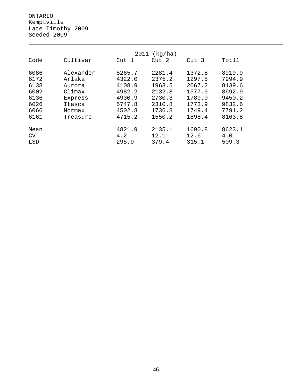ONTARIO Kemptville Late Timothy 2009 Seeded 2009

| 2011<br>(kq/ha) |           |        |        |                  |        |  |  |
|-----------------|-----------|--------|--------|------------------|--------|--|--|
| Code            | Cultivar  | Cut 1  | Cut 2  | Cut <sub>3</sub> | Tot11  |  |  |
| 6086            | Alexander | 5265.7 | 2281.4 | 1372.8           | 8919.9 |  |  |
| 6172            | Arlaka    | 4322.0 | 2375.2 | 1297.8           | 7994.9 |  |  |
| 6138            | Aurora    | 4108.9 | 1963.5 | 2067.2           | 8139.6 |  |  |
| 6002            | Climax    | 4982.2 | 2132.8 | 1577.9           | 8692.9 |  |  |
| 6136            | Express   | 4930.9 | 2730.3 | 1789.0           | 9450.2 |  |  |
| 6026            | Itasca    | 5747.8 | 2310.8 | 1773.9           | 9832.6 |  |  |
| 6066            | Normax    | 4502.8 | 1736.8 | 1749.4           | 7791.2 |  |  |
| 6161            | Treasure  | 4715.2 | 1550.2 | 1898.4           | 8163.8 |  |  |
| Mean            |           | 4821.9 | 2135.1 | 1690.8           | 8623.1 |  |  |
| CV              |           | 4.2    | 12.1   | 12.6             | 4.0    |  |  |
| LSD             |           | 295.9  | 379.4  | 315.1            | 509.3  |  |  |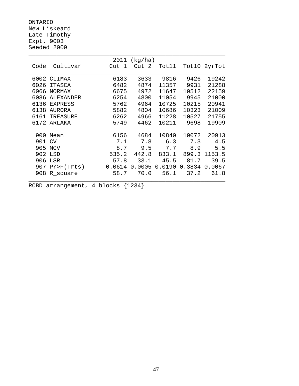ONTARIO New Liskeard Late Timothy Expt. 9003 Seeded 2009

|      |                  | 2011   | (kg/ha)    |        |        |              |
|------|------------------|--------|------------|--------|--------|--------------|
| Code | Cultivar         | Cut 1  | Cut<br>- 2 | Tot11  |        | Tot10 2yrTot |
|      |                  |        |            |        |        |              |
| 6002 | CLIMAX           | 6183   | 3633       | 9816   | 9426   | 19242        |
| 6026 | <b>ITASCA</b>    | 6482   | 4874       | 11357  | 9931   | 21288        |
| 6066 | <b>NORMAX</b>    | 6675   | 4972       | 11647  | 10512  | 22159        |
| 6086 | <b>ALEXANDER</b> | 6254   | 4800       | 11054  | 9945   | 21000        |
| 6136 | <b>EXPRESS</b>   | 5762   | 4964       | 10725  | 10215  | 20941        |
| 6138 | AURORA           | 5882   | 4804       | 10686  | 10323  | 21009        |
| 6161 | TREASURE         | 6262   | 4966       | 11228  | 10527  | 21755        |
| 6172 | ARLAKA           | 5749   | 4462       | 10211  | 9698   | 19909        |
|      |                  |        |            |        |        |              |
| 900  | Mean             | 6156   | 4684       | 10840  | 10072  | 20913        |
| 901  | <b>CV</b>        | 7.1    | 7.8        | 6.3    | 7.3    | 4.5          |
| 905  | MCV              | 8.7    | 9.5        | 7.7    | 8.9    | 5.5          |
| 902  | LSD              | 535.2  | 442.8      | 833.1  | 899.3  | 1153.5       |
| 906  | LSR              | 57.8   | 33.1       | 45.5   | 81.7   | 39.5         |
| 907  | Pr > F(Trts)     | 0.0614 | 0.0005     | 0.0190 | 0.3834 | 0.0067       |
| 908  | R_square         | 58.7   | 70.0       | 56.1   | 37.2   | 61.8         |
|      |                  |        |            |        |        |              |

RCBD arrangement, 4 blocks {1234}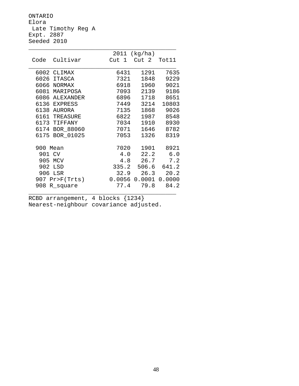ONTARIO Elora Late Timothy Reg A Expt. 2887 Seeded 2010

|          |                | 2011  | (kg/ha)                |       |
|----------|----------------|-------|------------------------|-------|
| Code     | Cultivar       | Cut 1 | Cut 2 Tot11            |       |
|          | 6002 CLIMAX    | 6431  | 1291                   | 7635  |
|          | 6026 ITASCA    | 7321  | 1848                   | 9229  |
|          | 6066 NORMAX    | 6918  | 1960                   | 9021  |
|          | 6081 MARIPOSA  | 7093  | 2139                   | 9186  |
|          | 6086 ALEXANDER | 6896  | 1718                   | 8651  |
|          | 6136 EXPRESS   | 7449  | 3214                   | 10803 |
|          | 6138 AURORA    | 7135  | 1868                   | 9026  |
|          | 6161 TREASURE  | 6822  | 1987                   | 8548  |
|          | 6173 TIFFANY   | 7034  | 1910                   | 8930  |
|          | 6174 BOR 88060 | 7071  | 1646                   | 8782  |
| 6175     | BOR_01025      | 7053  | 1326                   | 8319  |
| 900 Mean |                | 7020  | 1901                   | 8921  |
| 901 CV   |                | 4.0   | 22.2                   | 6.0   |
|          | 905 MCV        | 4.8   | 26.7                   | 7.2   |
|          | 902 LSD        | 335.2 | 506.6                  | 641.2 |
|          | 906 LSR        | 32.9  | 26.3                   | 20.2  |
|          | 907 Pr>F(Trts) |       | $0.0056$ 0.0001 0.0000 |       |
| 908      | R_square       | 77.4  | 79.8                   | 84.2  |

RCBD arrangement, 4 blocks {1234} Nearest-neighbour covariance adjusted.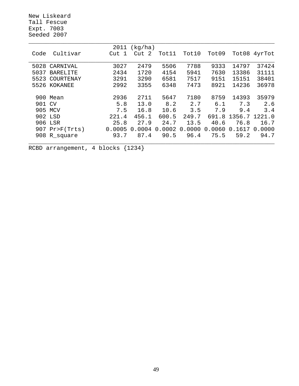New Liskeard Tall Fescue Expt. 7003 Seeded 2007

|        |                 | 2011   | (kg/ha)          |        |        |        |        |        |
|--------|-----------------|--------|------------------|--------|--------|--------|--------|--------|
| Code   | Cultivar        | Cut    | Cut <sub>2</sub> | Tot11  | Tot10  | Tot09  | Tot08  | 4yrTot |
|        |                 |        |                  |        |        |        |        |        |
| 5028   | CARNIVAL        | 3027   | 2479             | 5506   | 7788   | 9333   | 14797  | 37424  |
| 5037   | <b>BARELITE</b> | 2434   | 1720             | 4154   | 5941   | 7630   | 13386  | 31111  |
| 5523   | COURTENAY       | 3291   | 3290             | 6581   | 7517   | 9151   | 15151  | 38401  |
|        | 5526 KOKANEE    | 2992   | 3355             | 6348   | 7473   | 8921   | 14236  | 36978  |
|        |                 |        |                  |        |        |        |        |        |
|        | 900 Mean        | 2936   | 2711             | 5647   | 7180   | 8759   | 14393  | 35979  |
| 901 CV |                 | 5.8    | 13.0             | 8.2    | 2.7    | 6.1    | 7.3    | 2.6    |
|        | 905 MCV         | 7.5    | 16.8             | 10.6   | 3.5    | 7.9    | 9.4    | 3.4    |
|        | 902 LSD         | 221.4  | 456.1            | 600.5  | 249.7  | 691.8  | 1356.7 | 1221.0 |
|        | 906 LSR         | 25.8   | 27.9             | 24.7   | 13.5   | 40.6   | 76.8   | 16.7   |
|        | 907 Pr>F(Trts)  | 0.0005 | 0.0004           | 0.0002 | 0.0000 | 0.0060 | 0.1617 | 0.0000 |
|        | 908 R_square    | 93.7   | 87.4             | 90.5   | 96.4   | 75.5   | 59.2   | 94.7   |
|        |                 |        |                  |        |        |        |        |        |

RCBD arrangement, 4 blocks {1234}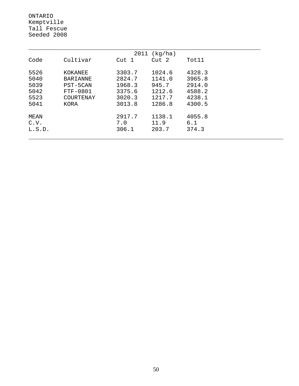ONTARIO Kemptville Tall Fescue Seeded 2008

| 2011<br>(kq/ha) |                 |        |        |        |  |  |  |  |
|-----------------|-----------------|--------|--------|--------|--|--|--|--|
| Code            | Cultivar        | Cut 1  | Cut 2  | Tot11  |  |  |  |  |
| 5526            | KOKANEE         | 3303.7 | 1024.6 | 4328.3 |  |  |  |  |
| 5040            | <b>BARIANNE</b> | 2824.7 | 1141.0 | 3965.8 |  |  |  |  |
| 5039            | PST-5CAN        | 1968.3 | 945.7  | 2914.0 |  |  |  |  |
| 5042            | $FTF-0801$      | 3375.6 | 1212.6 | 4588.2 |  |  |  |  |
| 5523            | COURTENAY       | 3020.3 | 1217.7 | 4238.1 |  |  |  |  |
| 5041            | KORA            | 3013.8 | 1286.8 | 4300.5 |  |  |  |  |
| MEAN            |                 | 2917.7 | 1138.1 | 4055.8 |  |  |  |  |
| C.V.            |                 | 7.0    | 11.9   | 6.1    |  |  |  |  |
| L.S.D.          |                 | 306.1  | 203.7  | 374.3  |  |  |  |  |
|                 |                 |        |        |        |  |  |  |  |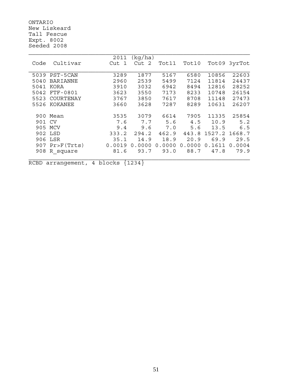ONTARIO New Liskeard Tall Fescue Expt. 8002 Seeded 2008

|        |                | 2011                  | (kq/ha) |        |        |        |              |
|--------|----------------|-----------------------|---------|--------|--------|--------|--------------|
| Code   | Cultivar       | Cut<br>$\overline{1}$ | Cut 2   | Tot11  | Tot10  |        | Tot09 3yrTot |
|        |                |                       |         |        |        |        |              |
| 5039   | PST-5CAN       | 3289                  | 1877    | 5167   | 6580   | 10856  | 22603        |
| 5040   | BARIANNE       | 2960                  | 2539    | 5499   | 7124   | 11814  | 24437        |
| 5041   | KORA           | 3910                  | 3032    | 6942   | 8494   | 12816  | 28252        |
| 5042   | FTF-0801       | 3623                  | 3550    | 7173   | 8233   | 10748  | 26154        |
| 5523   | COURTENAY      | 3767                  | 3850    | 7617   | 8708   | 11148  | 27473        |
| 5526   | KOKANEE        | 3660                  | 3628    | 7287   | 8289   | 10631  | 26207        |
|        |                |                       |         |        |        |        |              |
|        | 900 Mean       | 3535                  | 3079    | 6614   | 7905   | 11335  | 25854        |
| 901 CV |                | 7.6                   | 7.7     | 5.6    | 4.5    | 10.9   | 5.2          |
| 905    | MCV            | 9.4                   | 9.6     | 7.0    | 5.6    | 13.5   | 6.5          |
|        | 902 LSD        | 333.2                 | 294.2   | 462.9  | 443.8  | 1527.2 | 1668.7       |
|        | 906 LSR        | 35.1                  | 14.9    | 18.9   | 20.9   | 69.9   | 29.5         |
|        | 907 Pr>F(Trts) | 0.0019                | 0.0000  | 0.0000 | 0.0000 | 0.1611 | 0.0004       |
| 908    | R square       | 81.6                  | 93.7    | 93.0   | 88.7   | 47.8   | 79.9         |
|        |                |                       |         |        |        |        |              |

RCBD arrangement, 4 blocks {1234}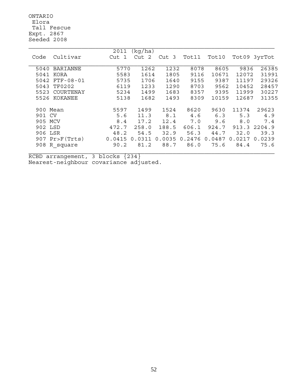ONTARIO Elora Tall Fescue Expt. 2867 Seeded 2008

|          |                  | 2011   | (kg/ha)               |        |        |        |        |              |
|----------|------------------|--------|-----------------------|--------|--------|--------|--------|--------------|
| Code     | Cultivar         | Cut 1  | $\overline{2}$<br>Cut | Cut 3  | Tot11  | Tot10  |        | Tot09 3yrTot |
|          |                  |        |                       |        |        |        |        |              |
| 5040     | <b>BARIANNE</b>  | 5770   | 1262                  | 1232   | 8078   | 8605   | 9836   | 26385        |
| 5041     | KORA             | 5583   | 1614                  | 1805   | 9116   | 10671  | 12072  | 31991        |
| 5042     | $FTF - 08 - 01$  | 5735   | 1706                  | 1640   | 9155   | 9387   | 11197  | 29326        |
| 5043     | <b>TF0202</b>    | 6119   | 1233                  | 1290   | 8703   | 9562   | 10452  | 28457        |
| 5523     | COURTENAY        | 5234   | 1499                  | 1683   | 8357   | 9395   | 11999  | 30227        |
| 5526     | KOKANEE          | 5138   | 1682                  | 1493   | 8309   | 10159  | 12687  | 31355        |
|          |                  |        |                       |        |        |        |        |              |
| 900 Mean |                  | 5597   | 1499                  | 1524   | 8620   | 9630   | 11374  | 29623        |
| 901 CV   |                  | 5.6    | 11.3                  | 8.1    | 4.6    | 6.3    | 5.3    | 4.9          |
| 905 MCV  |                  | 8.4    | 17.2                  | 12.4   | 7.0    | 9.6    | 8.0    | 7.4          |
| 902 LSD  |                  | 472.7  | 258.0                 | 188.5  | 606.1  | 924.7  | 913.3  | 2204.9       |
| 906      | LSR              | 48.2   | 54.5                  | 32.9   | 56.3   | 44.7   | 32.0   | 39.3         |
|          | $907$ Pr>F(Trts) | 0.0415 | 0.0311                | 0.0035 | 0.2476 | 0.0487 | 0.0217 | 0.0239       |
| 908      | R square         | 90.2   | 81.2                  | 88.7   | 86.0   | 75.6   | 84.4   | 75.6         |
|          |                  |        |                       |        |        |        |        |              |

RCBD arrangement, 3 blocks {234} Nearest-neighbour covariance adjusted.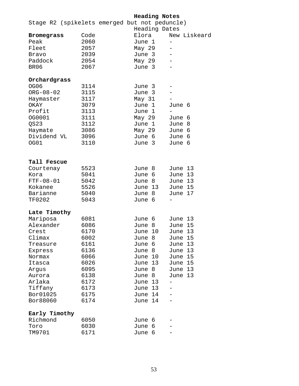**Heading Notes**

|                   |      | Stage R2 (spikelets emerged but not peduncle)<br>Heading Dates |                          |
|-------------------|------|----------------------------------------------------------------|--------------------------|
| <b>Bromegrass</b> | Code | Elora                                                          | New Liskeard             |
| Peak              | 2060 | June 1                                                         | $\qquad \qquad -$        |
| Fleet             | 2057 | May 29                                                         |                          |
| Bravo             | 2039 | June 3                                                         | $\overline{\phantom{0}}$ |
| Paddock           | 2054 | May 29                                                         | $\overline{\phantom{0}}$ |
| BR06              | 2067 | June 3                                                         |                          |
| Orchardgrass      |      |                                                                |                          |
| <b>OG06</b>       | 3114 | June 3                                                         |                          |
| $ORG - 08 - 02$   | 3115 | June 3                                                         |                          |
| Haymaster         | 3117 | May 31                                                         |                          |
| OKAY              | 3079 | June 1                                                         | June 6                   |
| Profit            | 3113 | June 1                                                         | $\overline{\phantom{m}}$ |
| OG0001            | 3111 | May 29                                                         | June 6                   |
| QS23              | 3112 | June 1                                                         | June 8                   |
| Haymate           | 3086 | May 29                                                         | June 6                   |
| Dividend VL       | 3096 | June 6                                                         | June 6                   |
| OG01              | 3110 | June 3                                                         | June 6                   |
|                   |      |                                                                |                          |
| Tall Fescue       |      |                                                                |                          |
| Courtenay         | 5523 | June 8                                                         | June 13                  |
| Kora              | 5041 | June 6                                                         | June 13                  |
| $FTF - 08 - 01$   | 5042 | June 8                                                         | June 13                  |
| Kokanee           | 5526 | June 13                                                        | June 15                  |
| Barianne          | 5040 | June 8                                                         | June 17                  |
| <b>TF0202</b>     | 5043 | June 6                                                         |                          |
| Late Timothy      |      |                                                                |                          |
| Mariposa          | 6081 | June 6                                                         | June 13                  |
| Alexander         | 6086 | June 8                                                         | June 15                  |
| Crest             | 6170 | June 10                                                        | June 13                  |
| Climax            | 6002 | June 8                                                         | June 15                  |
| Treasure          | 6161 | June 6                                                         | June 13                  |
| Express           | 6136 | June 8                                                         | June 13                  |
| Normax            | 6066 | June 10                                                        | June 15                  |
| Itasca            | 6026 | June 13                                                        | June 15                  |
| Argus             | 6095 | June 8                                                         | June 13                  |
| Aurora            | 6138 | June 8                                                         | June 13                  |
| Arlaka            | 6172 | June 13                                                        |                          |
| Tiffany           | 6173 | June 13                                                        |                          |
| Bor01025          | 6175 | June 14                                                        |                          |
| Bor88060          | 6174 | June 14                                                        |                          |
| Early Timothy     |      |                                                                |                          |
| Richmond          | 6050 | June 6                                                         |                          |
| Toro              | 6030 | June 6                                                         |                          |
| TM9701            | 6171 | June 6                                                         |                          |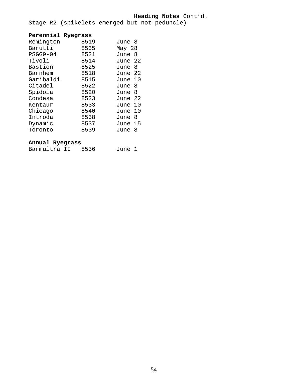#### **Heading Notes** Cont'd.

Stage R2 (spikelets emerged but not peduncle)

#### **Perennial Ryegrass**

| Remington  | 8519 | June 8      |
|------------|------|-------------|
| Barutti    | 8535 | May 28      |
| $PSGG9-04$ | 8521 | June<br>8   |
| Tivoli     | 8514 | June 22     |
| Bastion    | 8525 | - 8<br>June |
| Barnhem    | 8518 | June 22     |
| Garibaldi  | 8515 | June 10     |
| Citadel    | 8522 | -8<br>June  |
| Spidola    | 8520 | 8<br>June   |
| Condesa    | 8523 | June 22     |
| Kentaur    | 8533 | June 10     |
| Chicago    | 8540 | June 10     |
| Introda    | 8538 | 8<br>June   |
| Dynamic    | 8537 | 15<br>June  |
| Toronto    | 8539 | 8<br>June   |

#### **Annual Ryegrass**

Barmultra II 8536 June 1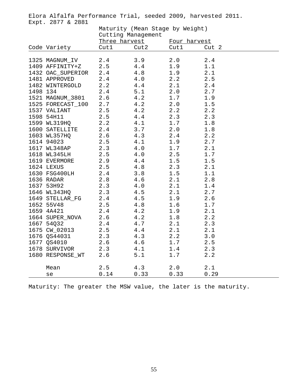Elora Alfalfa Performance Trial, seeded 2009, harvested 2011. Expt. 2877 & 2881

|          |                   | Maturity (Mean Stage by Weight) |         |              |       |  |  |  |
|----------|-------------------|---------------------------------|---------|--------------|-------|--|--|--|
|          |                   | Cutting Management              |         |              |       |  |  |  |
|          |                   | Three harvest                   |         | Four harvest |       |  |  |  |
|          | Code Variety      | Cut1                            | Cut2    | Cut1         | Cut 2 |  |  |  |
|          |                   |                                 |         |              |       |  |  |  |
|          | 1325 MAGNUM_IV    | 2.4                             | 3.9     | 2.0          | 2.4   |  |  |  |
|          | 1409 AFFINITY+Z   | 2.5                             | 4.4     | 1.9          | 1.1   |  |  |  |
|          | 1432 OAC_SUPERIOR | 2.4                             | 4.8     | 1.9          | 2.1   |  |  |  |
|          | 1481 APPROVED     | 2.4                             | $4.0$   | 2.2          | 2.5   |  |  |  |
|          | 1482 WINTERGOLD   | 2.2                             | 4.4     | 2.1          | 2.4   |  |  |  |
| 1498 134 |                   | 2.4                             | 5.1     | 2.0          | 2.7   |  |  |  |
|          | 1521 MAGNUM_3801  | 2.6                             | 4.2     | 1.7          | 1.9   |  |  |  |
|          | 1525 FORECAST_100 | 2.7                             | 4.2     | 2.0          | 1.5   |  |  |  |
|          | 1537 VALIANT      | 2.5                             | 4.2     | 2.2          | 2.2   |  |  |  |
|          | 1598 54H11        | 2.5                             | 4.4     | 2.3          | 2.3   |  |  |  |
|          | 1599 WL319HQ      | 2.2                             | 4.1     | 1.7          | 1.8   |  |  |  |
|          | 1600 SATELLITE    | 2.4                             | 3.7     | 2.0          | 1.8   |  |  |  |
|          | 1603 WL357HQ      | 2.6                             | 4.3     | 2.4          | 2.2   |  |  |  |
|          | 1614 94023        | 2.5                             | 4.1     | 1.9          | 2.7   |  |  |  |
|          | 1617 WL348AP      | 2.3                             | $4.0$   | 1.7          | 2.1   |  |  |  |
|          | 1618 WL345LH      | 2.5                             | $4.0$   | 2.5          | 1.7   |  |  |  |
|          | 1619 EVERMORE     | 2.9                             | 4.4     | 1.5          | 1.5   |  |  |  |
|          | 1624 LEXUS        | 2.5                             | 4.8     | 2.3          | 2.1   |  |  |  |
|          | 1630 FSG400LH     | 2.4                             | 3.8     | 1.5          | 1.1   |  |  |  |
|          | 1636 RADAR        | 2.8                             | 4.6     | 2.1          | 2.8   |  |  |  |
|          | 1637 53H92        | 2.3                             | 4.0     | 2.1          | 1.4   |  |  |  |
|          | 1646 WL343HQ      | 2.3                             | 4.5     | 2.1          | 2.7   |  |  |  |
|          | 1649 STELLAR FG   | 2.4                             | $4\,.5$ | 1.9          | 2.6   |  |  |  |
|          | 1652 55V48        | 2.5                             | 4.8     | 1.6          | 1.7   |  |  |  |
|          | 1659 4A421        | 2.4                             | 4.2     | 1.9          | 2.1   |  |  |  |
|          | 1664 SUPER NOVA   | 2.6                             | 4.2     | 1.8          | 2.2   |  |  |  |
|          | 1667 54Q32        | 2.4                             | $4.7$   | 2.1          | 2.3   |  |  |  |
|          | 1675 CW_02013     | 2.5                             | 4.4     | 2.1          | 2.1   |  |  |  |
|          | 1676 QS44031      | 2.3                             | 4.3     | 2.2          | 3.0   |  |  |  |
|          | 1677 QS4010       | 2.6                             | $4.6\,$ | 1.7          | 2.5   |  |  |  |
|          | 1678 SURVIVOR     | 2.3                             | $4.1$   | 1.4          | 2.3   |  |  |  |
|          | 1680 RESPONSE_WT  | 2.6                             | 5.1     | 1.7          | 2.2   |  |  |  |
|          |                   |                                 |         |              |       |  |  |  |
|          | Mean              | 2.5                             | 4.3     | 2.0          | 2.1   |  |  |  |
|          | se                | 0.14                            | 0.33    | 0.33         | 0.29  |  |  |  |

Maturity: The greater the MSW value, the later is the maturity.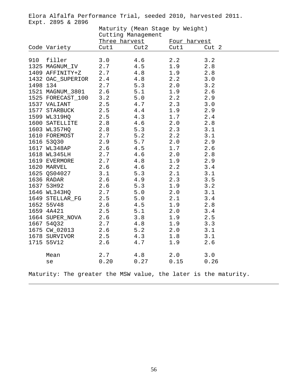Elora Alfalfa Performance Trial, seeded 2010, harvested 2011. Expt. 2895 & 2896

|          |                   | Maturity (Mean Stage by Weight)<br>Cutting Management |      |              |                                                                 |  |  |  |
|----------|-------------------|-------------------------------------------------------|------|--------------|-----------------------------------------------------------------|--|--|--|
|          |                   | Three harvest                                         |      | Four harvest |                                                                 |  |  |  |
|          | Code Variety      | Cut1                                                  | Cut2 | Cut1         | Cut 2                                                           |  |  |  |
| 910      | filler            | 3.0                                                   | 4.6  | 2.2          | 3.2                                                             |  |  |  |
|          | 1325 MAGNUM_IV    | 2.7                                                   | 4.5  | 1.9          | 2.8                                                             |  |  |  |
|          | 1409 AFFINITY+Z   | 2.7                                                   | 4.8  | 1.9          | 2.8                                                             |  |  |  |
|          | 1432 OAC_SUPERIOR | 2.4                                                   | 4.8  | 2.2          | 3.0                                                             |  |  |  |
| 1498 134 |                   | 2.7                                                   | 5.3  | 2.0          | 3.2                                                             |  |  |  |
|          | 1521 MAGNUM_3801  | 2.6                                                   | 5.1  | 1.9          | 2.6                                                             |  |  |  |
|          | 1525 FORECAST_100 | 3.2                                                   | 5.0  | 2.2          | 2.9                                                             |  |  |  |
|          | 1537 VALIANT      | 2.5                                                   | 4.7  | 2.3          | 3.0                                                             |  |  |  |
|          | 1577 STARBUCK     | 2.5                                                   | 4.4  | 1.9          | 2.9                                                             |  |  |  |
|          | 1599 WL319HQ      | 2.5                                                   | 4.3  | 1.7          | 2.4                                                             |  |  |  |
|          | 1600 SATELLITE    | 2.8                                                   | 4.6  | 2.0          | 2.8                                                             |  |  |  |
|          | 1603 WL357HQ      | 2.8                                                   | 5.3  | 2.3          | 3.1                                                             |  |  |  |
|          | 1610 FOREMOST     | 2.7                                                   | 5.2  | 2.2          | 3.1                                                             |  |  |  |
|          | 1616 53Q30        | 2.9                                                   | 5.7  | $2.0$        | 2.9                                                             |  |  |  |
|          | 1617 WL348AP      | 2.6                                                   | 4.5  | 1.7          | 2.6                                                             |  |  |  |
|          | 1618 WL345LH      | 2.7                                                   | 4.6  | $2.0$        | 2.8                                                             |  |  |  |
|          | 1619 EVERMORE     | 2.7                                                   | 4.8  | 1.9          | 2.9                                                             |  |  |  |
|          | 1620 MARVEL       | 2.6                                                   | 4.6  | 2.2          | 3.4                                                             |  |  |  |
|          | 1625 QS04027      | 3.1                                                   | 5.3  | 2.1          | 3.1                                                             |  |  |  |
|          | 1636 RADAR        | 2.6                                                   | 4.9  | 2.3          | 3.5                                                             |  |  |  |
|          | 1637 53H92        | 2.6                                                   | 5.3  | 1.9          | 3.2                                                             |  |  |  |
|          | 1646 WL343HQ      | 2.7                                                   | 5.0  | 2.0          | 3.1                                                             |  |  |  |
|          | 1649 STELLAR_FG   | 2.5                                                   | 5.0  | 2.1          | 3.4                                                             |  |  |  |
|          | 1652 55V48        | 2.6                                                   | 4.5  | 1.9          | 2.8                                                             |  |  |  |
|          | 1659 4A421        | 2.5                                                   | 5.1  | 2.0          | 3.4                                                             |  |  |  |
|          | 1664 SUPER_NOVA   | 2.6                                                   | 3.8  | 1.9          | 2.5                                                             |  |  |  |
|          | 1667 54Q32        | 2.7                                                   | 4.8  | 1.9          | 3.3                                                             |  |  |  |
|          | 1675 CW_02013     | 2.6                                                   | 5.2  | 2.0          | 3.1                                                             |  |  |  |
|          | 1678 SURVIVOR     | 2.5                                                   | 4.3  | 1.8          | 3.1                                                             |  |  |  |
|          | 1715 55V12        | 2.6                                                   | 4.7  | 1.9          | 2.6                                                             |  |  |  |
|          | Mean              | 2.7                                                   | 4.8  | 2.0          | 3.0                                                             |  |  |  |
|          | se                | 0.20                                                  | 0.27 | 0.15         | 0.26                                                            |  |  |  |
|          |                   |                                                       |      |              | Maturity: The greater the MSW value, the later is the maturity. |  |  |  |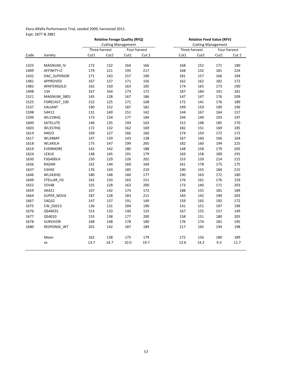#### Elora Alfalfa Performance Trial, seeded 2009, harvested 2011. Expt. 2877 & 2881

|      |                   | <b>Relative Forage Quality (RFQ)</b> |                  |      |              | <b>Relative Feed Value (RFV)</b> |                  |      |              |  |
|------|-------------------|--------------------------------------|------------------|------|--------------|----------------------------------|------------------|------|--------------|--|
|      |                   | <b>Cutting Management</b>            |                  |      |              | <b>Cutting Management</b>        |                  |      |              |  |
|      |                   |                                      | Three harvest    |      | Four harvest |                                  | Three harvest    |      | Four harvest |  |
| Code | Variety           | Cut1                                 | Cut <sub>2</sub> | Cut1 | Cut 2        | Cut1                             | Cut <sub>2</sub> | Cut1 | Cut 2        |  |
| 1325 | MAGNUM_IV         | 172                                  | 132              | 164  | 166          | 168                              | 152              | 171  | 180          |  |
| 1409 | AFFINITY+Z        | 179                                  | 121              | 195  | 217          | 168                              | 132              | 181  | 224          |  |
| 1432 | OAC SUPERIOR      | 171                                  | 143              | 157  | 190          | 181                              | 157              | 166  | 194          |  |
| 1481 | <b>APPROVED</b>   | 167                                  | 137              | 171  |              |                                  |                  |      | 172          |  |
|      |                   |                                      |                  |      | 156          | 162                              | 162              | 182  |              |  |
| 1482 | <b>WINTERGOLD</b> | 162                                  | 150              | 163  | 185          | 174                              | 165              | 173  | 190          |  |
| 1498 | 134               | 167                                  | 164              | 173  | 172          | 187                              | 184              | 191  | 181          |  |
| 1521 | MAGNUM 3801       | 145                                  | 128              | 167  | 186          | 147                              | 147              | 176  | 209          |  |
| 1525 | FORECAST 100      | 152                                  | 125              | 171  | 168          | 172                              | 141              | 176  | 189          |  |
| 1537 | VALIANT           | 190                                  | 152              | 187  | 182          | 199                              | 159              | 190  | 196          |  |
| 1598 | 54H11             | 131                                  | 140              | 151  | 142          | 144                              | 167              | 164  | 157          |  |
| 1599 | <b>WL319HQ</b>    | 173                                  | 134              | 177  | 184          | 194                              | 149              | 193  | 197          |  |
| 1600 | SATELLITE         | 146                                  | 135              | 193  | 163          | 152                              | 148              | 185  | 170          |  |
| 1603 | <b>WL357HQ</b>    | 172                                  | 132              | 162  | 169          | 182                              | 151              | 169  | 185          |  |
| 1614 | 94023             | 169                                  | 127              | 166  | 160          | 174                              | 154              | 172  | 172          |  |
| 1617 | WL348AP           | 147                                  | 139              | 143  | 138          | 167                              | 160              | 166  | 164          |  |
| 1618 | <b>WL345LH</b>    | 175                                  | 147              | 199  | 265          | 182                              | 160              | 194  | 225          |  |
| 1619 | <b>EVERMORE</b>   | 142                                  | 142              | 180  | 188          | 148                              | 158              | 179  | 205          |  |
| 1624 | LEXUS             | 148                                  | 145              | 191  | 179          | 169                              | 158              | 189  | 191          |  |
| 1630 | FSG400LH          | 150                                  | 129              | 226  | 202          | 153                              | 139              | 214  | 215          |  |
| 1636 | <b>RADAR</b>      | 162                                  | 144              | 160  | 169          | 161                              | 178              | 175  | 175          |  |
| 1637 | 53H92             | 176                                  | 143              | 185  | 210          | 190                              | 155              | 184  | 215          |  |
| 1646 | <b>WL343HQ</b>    | 180                                  | 148              | 160  | 177          | 190                              | 163              | 172  | 180          |  |
| 1649 | STELLAR FG        | 162                                  | 150              | 163  | 151          | 176                              | 161              | 176  | 159          |  |
| 1652 | 55V48             | 155                                  | 128              | 163  | 200          | 173                              | 140              | 171  | 203          |  |
| 1659 | 4A421             | 167                                  | 142              | 175  | 172          | 188                              | 155              | 181  | 189          |  |
| 1664 | SUPER NOVA        | 187                                  | 128              | 183  | 211          | 183                              | 142              | 190  | 203          |  |
| 1667 | 54Q32             | 147                                  | 137              | 191  | 149          | 159                              | 165              | 192  | 172          |  |
| 1675 | CW 02013          | 136                                  | 131              | 204  | 190          | 141                              | 151              | 197  | 196          |  |
| 1676 | QS44031           | 153                                  | 133              | 146  | 133          | 167                              | 155              | 157  | 149          |  |
| 1677 | QS4010            | 153                                  | 138              | 177  | 200          | 158                              | 151              | 180  | 205          |  |
| 1678 | <b>SURVIVOR</b>   | 168                                  | 148              | 178  | 180          | 176                              | 174              | 181  | 195          |  |
| 1680 | RESPONSE_WT       | 201                                  | 142              | 187  | 189          | 217                              | 165              | 194  | 198          |  |
|      |                   |                                      |                  |      |              |                                  |                  |      |              |  |
|      | Mean              | 162                                  | 138              | 175  | 179          | 172                              | 156              | 180  | 189          |  |
|      | se                | 13.7                                 | 14.7             | 10.0 | 19.7         | 13.6                             | 14.2             | 9.3  | 11.7         |  |